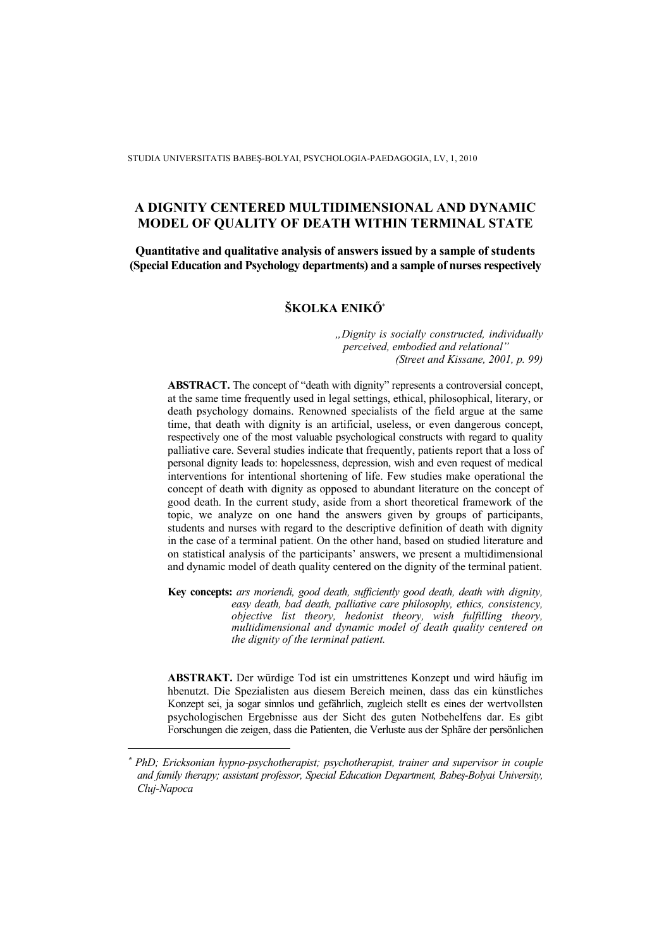STUDIA UNIVERSITATIS BABEŞ-BOLYAI, PSYCHOLOGIA-PAEDAGOGIA, LV, 1, 2010

# **A DIGNITY CENTERED MULTIDIMENSIONAL AND DYNAMIC MODEL OF QUALITY OF DEATH WITHIN TERMINAL STATE**

**Quantitative and qualitative analysis of answers issued by a sample of students (Special Education and Psychology departments) and a sample of nurses respectively** 

# **ŠKOLKA ENIKŐ**<sup>∗</sup>

*"Dignity is socially constructed, individually perceived, embodied and relational" (Street and Kissane, 2001, p. 99)* 

**ABSTRACT.** The concept of "death with dignity" represents a controversial concept, at the same time frequently used in legal settings, ethical, philosophical, literary, or death psychology domains. Renowned specialists of the field argue at the same time, that death with dignity is an artificial, useless, or even dangerous concept, respectively one of the most valuable psychological constructs with regard to quality palliative care. Several studies indicate that frequently, patients report that a loss of personal dignity leads to: hopelessness, depression, wish and even request of medical interventions for intentional shortening of life. Few studies make operational the concept of death with dignity as opposed to abundant literature on the concept of good death. In the current study, aside from a short theoretical framework of the topic, we analyze on one hand the answers given by groups of participants, students and nurses with regard to the descriptive definition of death with dignity in the case of a terminal patient. On the other hand, based on studied literature and on statistical analysis of the participants' answers, we present a multidimensional and dynamic model of death quality centered on the dignity of the terminal patient.

**Key concepts:** *ars moriendi, good death, sufficiently good death, death with dignity, easy death, bad death, palliative care philosophy, ethics, consistency, objective list theory, hedonist theory, wish fulfilling theory, multidimensional and dynamic model of death quality centered on the dignity of the terminal patient.* 

**ABSTRAKT.** Der würdige Tod ist ein umstrittenes Konzept und wird häufig im hbenutzt. Die Spezialisten aus diesem Bereich meinen, dass das ein künstliches Konzept sei, ja sogar sinnlos und gefährlich, zugleich stellt es eines der wertvollsten psychologischen Ergebnisse aus der Sicht des guten Notbehelfens dar. Es gibt Forschungen die zeigen, dass die Patienten, die Verluste aus der Sphäre der persönlichen

 $\overline{a}$ 

<sup>∗</sup> *PhD; Ericksonian hypno-psychotherapist; psychotherapist, trainer and supervisor in couple and family therapy; assistant professor, Special Education Department, Babeş-Bolyai University, Cluj-Napoca*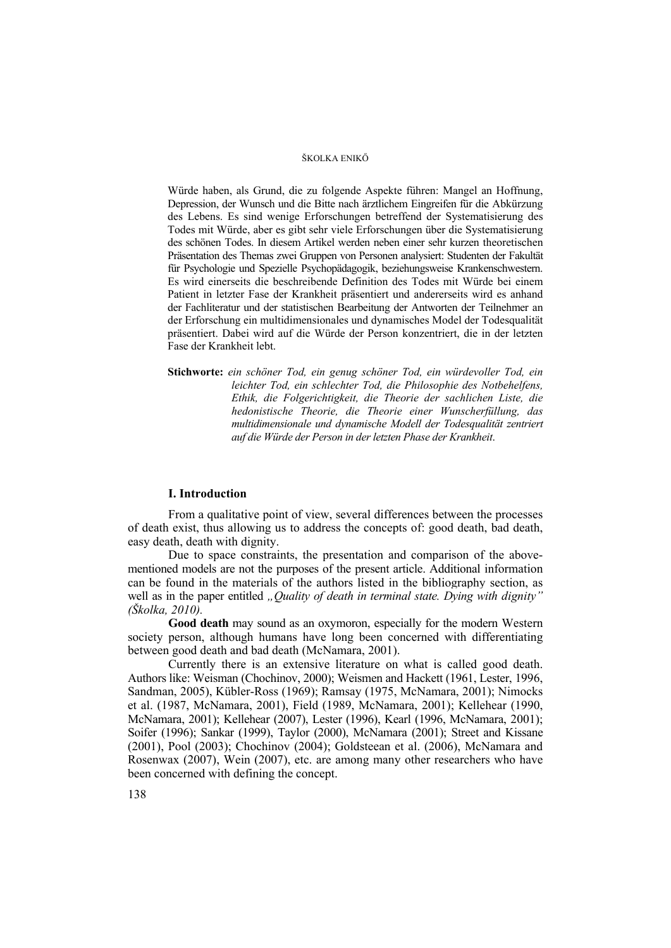Würde haben, als Grund, die zu folgende Aspekte führen: Mangel an Hoffnung, Depression, der Wunsch und die Bitte nach ärztlichem Eingreifen für die Abkürzung des Lebens. Es sind wenige Erforschungen betreffend der Systematisierung des Todes mit Würde, aber es gibt sehr viele Erforschungen über die Systematisierung des schönen Todes. In diesem Artikel werden neben einer sehr kurzen theoretischen Präsentation des Themas zwei Gruppen von Personen analysiert: Studenten der Fakultät für Psychologie und Spezielle Psychopädagogik, beziehungsweise Krankenschwestern. Es wird einerseits die beschreibende Definition des Todes mit Würde bei einem Patient in letzter Fase der Krankheit präsentiert und andererseits wird es anhand der Fachliteratur und der statistischen Bearbeitung der Antworten der Teilnehmer an der Erforschung ein multidimensionales und dynamisches Model der Todesqualität präsentiert. Dabei wird auf die Würde der Person konzentriert, die in der letzten Fase der Krankheit lebt.

**Stichworte:** *ein schöner Tod, ein genug schöner Tod, ein würdevoller Tod, ein leichter Tod, ein schlechter Tod, die Philosophie des Notbehelfens, Ethik, die Folgerichtigkeit, die Theorie der sachlichen Liste, die hedonistische Theorie, die Theorie einer Wunscherfüllung, das multidimensionale und dynamische Modell der Todesqualität zentriert auf die Würde der Person in der letzten Phase der Krankheit*.

### **I. Introduction**

From a qualitative point of view, several differences between the processes of death exist, thus allowing us to address the concepts of: good death, bad death, easy death, death with dignity.

Due to space constraints, the presentation and comparison of the abovementioned models are not the purposes of the present article. Additional information can be found in the materials of the authors listed in the bibliography section, as well as in the paper entitled *"Quality of death in terminal state. Dying with dignity*" *(Školka, 2010).* 

**Good death** may sound as an oxymoron, especially for the modern Western society person, although humans have long been concerned with differentiating between good death and bad death (McNamara, 2001).

Currently there is an extensive literature on what is called good death. Authors like: Weisman (Chochinov, 2000); Weismen and Hackett (1961, Lester, 1996, Sandman, 2005), Kübler-Ross (1969); Ramsay (1975, McNamara, 2001); Nimocks et al. (1987, McNamara, 2001), Field (1989, McNamara, 2001); Kellehear (1990, McNamara, 2001); Kellehear (2007), Lester (1996), Kearl (1996, McNamara, 2001); Soifer (1996); Sankar (1999), Taylor (2000), McNamara (2001); Street and Kissane (2001), Pool (2003); Chochinov (2004); Goldsteean et al. (2006), McNamara and Rosenwax (2007), Wein (2007), etc. are among many other researchers who have been concerned with defining the concept.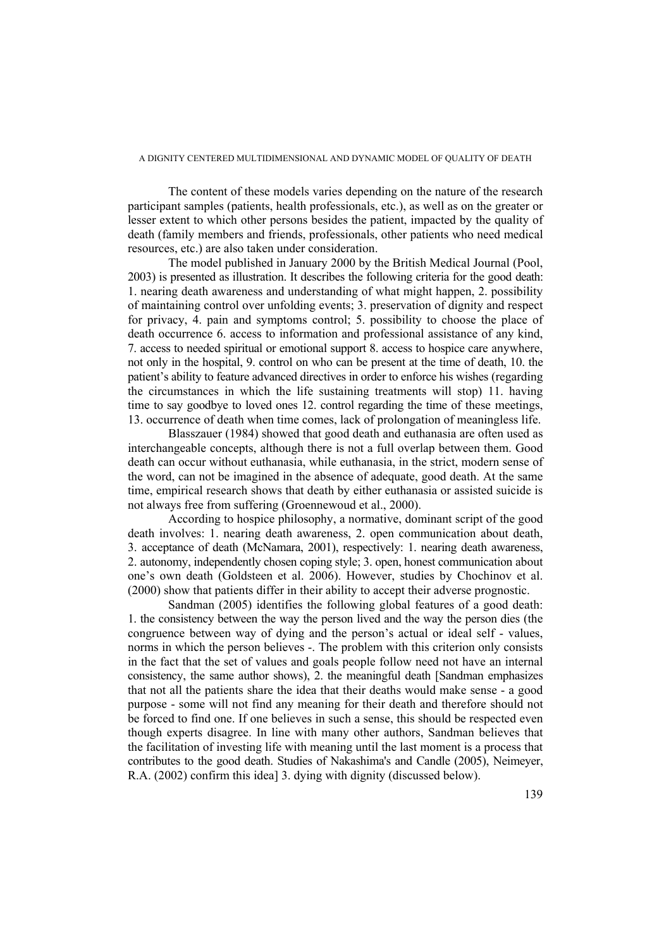The content of these models varies depending on the nature of the research participant samples (patients, health professionals, etc.), as well as on the greater or lesser extent to which other persons besides the patient, impacted by the quality of death (family members and friends, professionals, other patients who need medical resources, etc.) are also taken under consideration.

The model published in January 2000 by the British Medical Journal (Pool, 2003) is presented as illustration. It describes the following criteria for the good death: 1. nearing death awareness and understanding of what might happen, 2. possibility of maintaining control over unfolding events; 3. preservation of dignity and respect for privacy, 4. pain and symptoms control; 5. possibility to choose the place of death occurrence 6. access to information and professional assistance of any kind, 7. access to needed spiritual or emotional support 8. access to hospice care anywhere, not only in the hospital, 9. control on who can be present at the time of death, 10. the patient's ability to feature advanced directives in order to enforce his wishes (regarding the circumstances in which the life sustaining treatments will stop) 11. having time to say goodbye to loved ones 12. control regarding the time of these meetings, 13. occurrence of death when time comes, lack of prolongation of meaningless life.

Blasszauer (1984) showed that good death and euthanasia are often used as interchangeable concepts, although there is not a full overlap between them. Good death can occur without euthanasia, while euthanasia, in the strict, modern sense of the word, can not be imagined in the absence of adequate, good death. At the same time, empirical research shows that death by either euthanasia or assisted suicide is not always free from suffering (Groennewoud et al., 2000).

According to hospice philosophy, a normative, dominant script of the good death involves: 1. nearing death awareness, 2. open communication about death, 3. acceptance of death (McNamara, 2001), respectively: 1. nearing death awareness, 2. autonomy, independently chosen coping style; 3. open, honest communication about one's own death (Goldsteen et al. 2006). However, studies by Chochinov et al. (2000) show that patients differ in their ability to accept their adverse prognostic.

Sandman (2005) identifies the following global features of a good death: 1. the consistency between the way the person lived and the way the person dies (the congruence between way of dying and the person's actual or ideal self - values, norms in which the person believes -. The problem with this criterion only consists in the fact that the set of values and goals people follow need not have an internal consistency, the same author shows), 2. the meaningful death [Sandman emphasizes that not all the patients share the idea that their deaths would make sense - a good purpose - some will not find any meaning for their death and therefore should not be forced to find one. If one believes in such a sense, this should be respected even though experts disagree. In line with many other authors, Sandman believes that the facilitation of investing life with meaning until the last moment is a process that contributes to the good death. Studies of Nakashima's and Candle (2005), Neimeyer, R.A. (2002) confirm this idea] 3. dying with dignity (discussed below).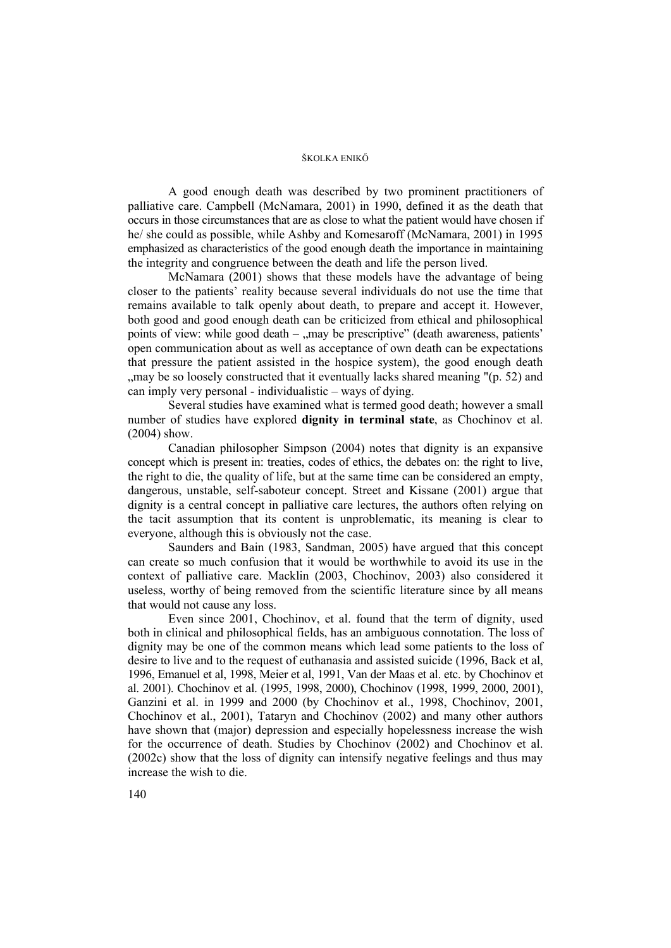A good enough death was described by two prominent practitioners of palliative care. Campbell (McNamara, 2001) in 1990, defined it as the death that occurs in those circumstances that are as close to what the patient would have chosen if he/ she could as possible, while Ashby and Komesaroff (McNamara, 2001) in 1995 emphasized as characteristics of the good enough death the importance in maintaining the integrity and congruence between the death and life the person lived.

McNamara (2001) shows that these models have the advantage of being closer to the patients' reality because several individuals do not use the time that remains available to talk openly about death, to prepare and accept it. However, both good and good enough death can be criticized from ethical and philosophical points of view: while good death  $-$  , may be prescriptive" (death awareness, patients' open communication about as well as acceptance of own death can be expectations that pressure the patient assisted in the hospice system), the good enough death ", may be so loosely constructed that it eventually lacks shared meaning  $\eta$  (p. 52) and can imply very personal - individualistic – ways of dying.

Several studies have examined what is termed good death; however a small number of studies have explored **dignity in terminal state**, as Chochinov et al. (2004) show.

Canadian philosopher Simpson (2004) notes that dignity is an expansive concept which is present in: treaties, codes of ethics, the debates on: the right to live, the right to die, the quality of life, but at the same time can be considered an empty, dangerous, unstable, self-saboteur concept. Street and Kissane (2001) argue that dignity is a central concept in palliative care lectures, the authors often relying on the tacit assumption that its content is unproblematic, its meaning is clear to everyone, although this is obviously not the case.

Saunders and Bain (1983, Sandman, 2005) have argued that this concept can create so much confusion that it would be worthwhile to avoid its use in the context of palliative care. Macklin (2003, Chochinov, 2003) also considered it useless, worthy of being removed from the scientific literature since by all means that would not cause any loss.

Even since 2001, Chochinov, et al. found that the term of dignity, used both in clinical and philosophical fields, has an ambiguous connotation. The loss of dignity may be one of the common means which lead some patients to the loss of desire to live and to the request of euthanasia and assisted suicide (1996, Back et al, 1996, Emanuel et al, 1998, Meier et al, 1991, Van der Maas et al. etc. by Chochinov et al. 2001). Chochinov et al. (1995, 1998, 2000), Chochinov (1998, 1999, 2000, 2001), Ganzini et al. in 1999 and 2000 (by Chochinov et al., 1998, Chochinov, 2001, Chochinov et al., 2001), Tataryn and Chochinov (2002) and many other authors have shown that (major) depression and especially hopelessness increase the wish for the occurrence of death. Studies by Chochinov (2002) and Chochinov et al. (2002c) show that the loss of dignity can intensify negative feelings and thus may increase the wish to die.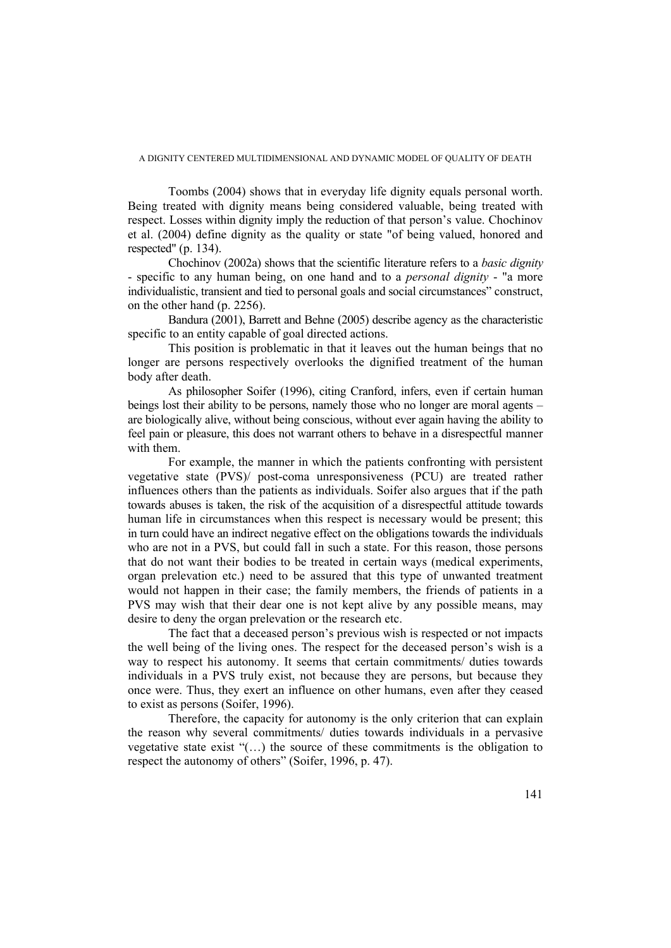Toombs (2004) shows that in everyday life dignity equals personal worth. Being treated with dignity means being considered valuable, being treated with respect. Losses within dignity imply the reduction of that person's value. Chochinov et al. (2004) define dignity as the quality or state "of being valued, honored and respected" (p. 134).

Chochinov (2002a) shows that the scientific literature refers to a *basic dignity* - specific to any human being, on one hand and to a *personal dignity* - "a more individualistic, transient and tied to personal goals and social circumstances" construct, on the other hand (p. 2256).

Bandura (2001), Barrett and Behne (2005) describe agency as the characteristic specific to an entity capable of goal directed actions.

This position is problematic in that it leaves out the human beings that no longer are persons respectively overlooks the dignified treatment of the human body after death.

As philosopher Soifer (1996), citing Cranford, infers, even if certain human beings lost their ability to be persons, namely those who no longer are moral agents – are biologically alive, without being conscious, without ever again having the ability to feel pain or pleasure, this does not warrant others to behave in a disrespectful manner with them.

For example, the manner in which the patients confronting with persistent vegetative state (PVS)/ post-coma unresponsiveness (PCU) are treated rather influences others than the patients as individuals. Soifer also argues that if the path towards abuses is taken, the risk of the acquisition of a disrespectful attitude towards human life in circumstances when this respect is necessary would be present; this in turn could have an indirect negative effect on the obligations towards the individuals who are not in a PVS, but could fall in such a state. For this reason, those persons that do not want their bodies to be treated in certain ways (medical experiments, organ prelevation etc.) need to be assured that this type of unwanted treatment would not happen in their case; the family members, the friends of patients in a PVS may wish that their dear one is not kept alive by any possible means, may desire to deny the organ prelevation or the research etc.

The fact that a deceased person's previous wish is respected or not impacts the well being of the living ones. The respect for the deceased person's wish is a way to respect his autonomy. It seems that certain commitments/ duties towards individuals in a PVS truly exist, not because they are persons, but because they once were. Thus, they exert an influence on other humans, even after they ceased to exist as persons (Soifer, 1996).

Therefore, the capacity for autonomy is the only criterion that can explain the reason why several commitments/ duties towards individuals in a pervasive vegetative state exist "(…) the source of these commitments is the obligation to respect the autonomy of others" (Soifer, 1996, p. 47).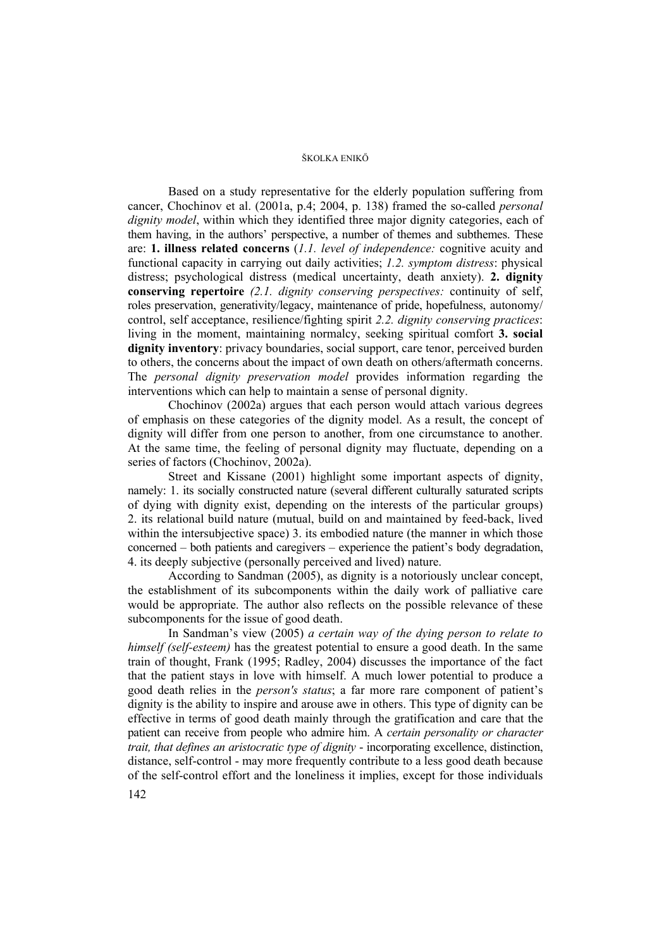Based on a study representative for the elderly population suffering from cancer, Chochinov et al. (2001a, p.4; 2004, p. 138) framed the so-called *personal dignity model*, within which they identified three major dignity categories, each of them having, in the authors' perspective, a number of themes and subthemes. These are: **1. illness related concerns** (*1.1. level of independence:* cognitive acuity and functional capacity in carrying out daily activities; *1.2. symptom distress*: physical distress; psychological distress (medical uncertainty, death anxiety). **2. dignity conserving repertoire** *(2.1. dignity conserving perspectives:* continuity of self, roles preservation, generativity/legacy, maintenance of pride, hopefulness, autonomy/ control, self acceptance, resilience/fighting spirit *2.2. dignity conserving practices*: living in the moment, maintaining normalcy, seeking spiritual comfort **3. social dignity inventory**: privacy boundaries, social support, care tenor, perceived burden to others, the concerns about the impact of own death on others/aftermath concerns. The *personal dignity preservation model* provides information regarding the interventions which can help to maintain a sense of personal dignity.

Chochinov (2002a) argues that each person would attach various degrees of emphasis on these categories of the dignity model. As a result, the concept of dignity will differ from one person to another, from one circumstance to another. At the same time, the feeling of personal dignity may fluctuate, depending on a series of factors (Chochinov, 2002a).

Street and Kissane (2001) highlight some important aspects of dignity, namely: 1. its socially constructed nature (several different culturally saturated scripts of dying with dignity exist, depending on the interests of the particular groups) 2. its relational build nature (mutual, build on and maintained by feed-back, lived within the intersubjective space) 3. its embodied nature (the manner in which those concerned – both patients and caregivers – experience the patient's body degradation, 4. its deeply subjective (personally perceived and lived) nature.

According to Sandman (2005), as dignity is a notoriously unclear concept, the establishment of its subcomponents within the daily work of palliative care would be appropriate. The author also reflects on the possible relevance of these subcomponents for the issue of good death.

In Sandman's view (2005) *a certain way of the dying person to relate to himself (self-esteem)* has the greatest potential to ensure a good death. In the same train of thought, Frank (1995; Radley, 2004) discusses the importance of the fact that the patient stays in love with himself. A much lower potential to produce a good death relies in the *person's status*; a far more rare component of patient's dignity is the ability to inspire and arouse awe in others. This type of dignity can be effective in terms of good death mainly through the gratification and care that the patient can receive from people who admire him. A *certain personality or character trait, that defines an aristocratic type of dignity* - incorporating excellence, distinction, distance, self-control - may more frequently contribute to a less good death because of the self-control effort and the loneliness it implies, except for those individuals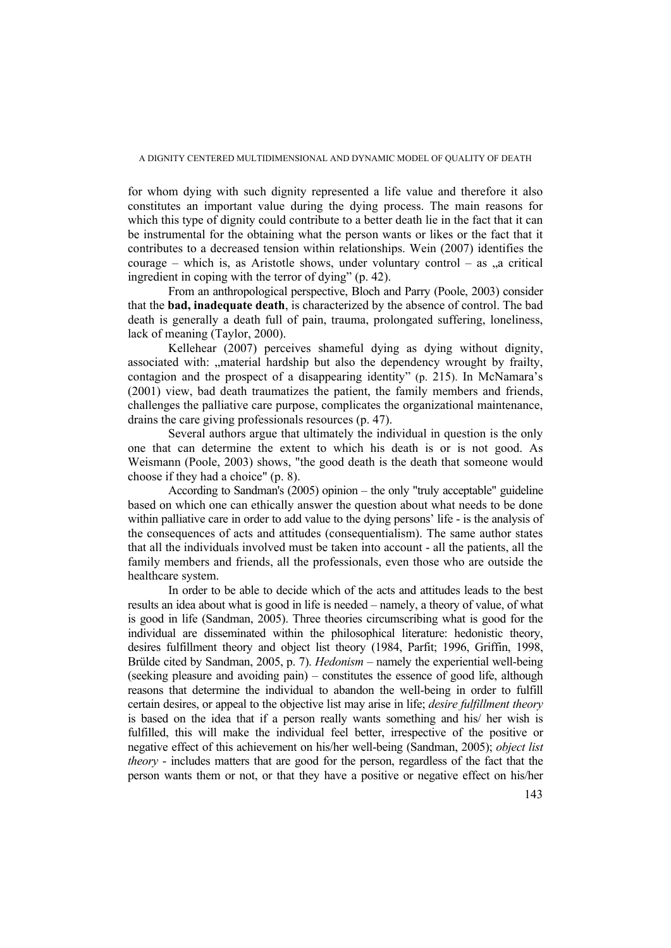for whom dying with such dignity represented a life value and therefore it also constitutes an important value during the dying process. The main reasons for which this type of dignity could contribute to a better death lie in the fact that it can be instrumental for the obtaining what the person wants or likes or the fact that it contributes to a decreased tension within relationships. Wein (2007) identifies the courage – which is, as Aristotle shows, under voluntary control – as  $a$  critical ingredient in coping with the terror of dying" (p. 42).

From an anthropological perspective, Bloch and Parry (Poole, 2003) consider that the **bad, inadequate death**, is characterized by the absence of control. The bad death is generally a death full of pain, trauma, prolongated suffering, loneliness, lack of meaning (Taylor, 2000).

Kellehear (2007) perceives shameful dying as dying without dignity, associated with: "material hardship but also the dependency wrought by frailty, contagion and the prospect of a disappearing identity" (p. 215). In McNamara's (2001) view, bad death traumatizes the patient, the family members and friends, challenges the palliative care purpose, complicates the organizational maintenance, drains the care giving professionals resources (p. 47).

Several authors argue that ultimately the individual in question is the only one that can determine the extent to which his death is or is not good. As Weismann (Poole, 2003) shows, "the good death is the death that someone would choose if they had a choice" (p. 8).

According to Sandman's (2005) opinion – the only "truly acceptable" guideline based on which one can ethically answer the question about what needs to be done within palliative care in order to add value to the dying persons' life - is the analysis of the consequences of acts and attitudes (consequentialism). The same author states that all the individuals involved must be taken into account - all the patients, all the family members and friends, all the professionals, even those who are outside the healthcare system.

In order to be able to decide which of the acts and attitudes leads to the best results an idea about what is good in life is needed – namely, a theory of value, of what is good in life (Sandman, 2005). Three theories circumscribing what is good for the individual are disseminated within the philosophical literature: hedonistic theory, desires fulfillment theory and object list theory (1984, Parfit; 1996, Griffin, 1998, Brülde cited by Sandman, 2005, p. 7). *Hedonism* – namely the experiential well-being (seeking pleasure and avoiding pain) – constitutes the essence of good life, although reasons that determine the individual to abandon the well-being in order to fulfill certain desires, or appeal to the objective list may arise in life; *desire fulfillment theory*  is based on the idea that if a person really wants something and his/ her wish is fulfilled, this will make the individual feel better, irrespective of the positive or negative effect of this achievement on his/her well-being (Sandman, 2005); *object list theory* - includes matters that are good for the person, regardless of the fact that the person wants them or not, or that they have a positive or negative effect on his/her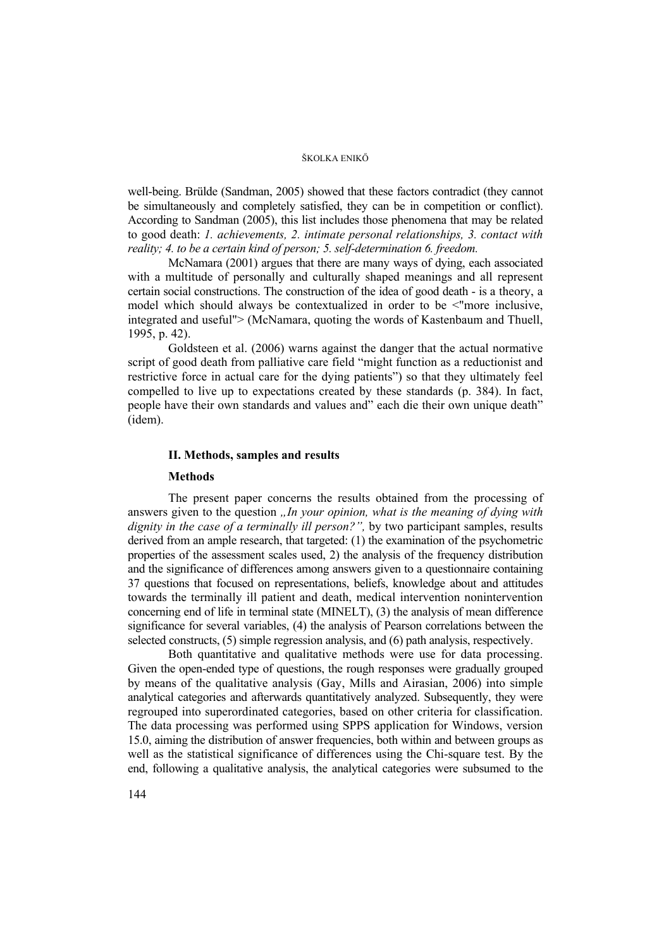well-being. Brülde (Sandman, 2005) showed that these factors contradict (they cannot be simultaneously and completely satisfied, they can be in competition or conflict). According to Sandman (2005), this list includes those phenomena that may be related to good death: *1. achievements, 2. intimate personal relationships, 3. contact with reality; 4. to be a certain kind of person; 5. self-determination 6. freedom.*

McNamara (2001) argues that there are many ways of dying, each associated with a multitude of personally and culturally shaped meanings and all represent certain social constructions. The construction of the idea of good death - is a theory, a model which should always be contextualized in order to be <"more inclusive, integrated and useful"> (McNamara, quoting the words of Kastenbaum and Thuell, 1995, p. 42).

Goldsteen et al. (2006) warns against the danger that the actual normative script of good death from palliative care field "might function as a reductionist and restrictive force in actual care for the dying patients") so that they ultimately feel compelled to live up to expectations created by these standards (p. 384). In fact, people have their own standards and values and" each die their own unique death" (idem).

## **II. Methods, samples and results**

### **Methods**

The present paper concerns the results obtained from the processing of answers given to the question *..In your opinion, what is the meaning of dying with dignity in the case of a terminally ill person?"*, by two participant samples, results derived from an ample research, that targeted: (1) the examination of the psychometric properties of the assessment scales used, 2) the analysis of the frequency distribution and the significance of differences among answers given to a questionnaire containing 37 questions that focused on representations, beliefs, knowledge about and attitudes towards the terminally ill patient and death, medical intervention nonintervention concerning end of life in terminal state (MINELT), (3) the analysis of mean difference significance for several variables, (4) the analysis of Pearson correlations between the selected constructs, (5) simple regression analysis, and (6) path analysis, respectively.

Both quantitative and qualitative methods were use for data processing. Given the open-ended type of questions, the rough responses were gradually grouped by means of the qualitative analysis (Gay, Mills and Airasian, 2006) into simple analytical categories and afterwards quantitatively analyzed. Subsequently, they were regrouped into superordinated categories, based on other criteria for classification. The data processing was performed using SPPS application for Windows, version 15.0, aiming the distribution of answer frequencies, both within and between groups as well as the statistical significance of differences using the Chi-square test. By the end, following a qualitative analysis, the analytical categories were subsumed to the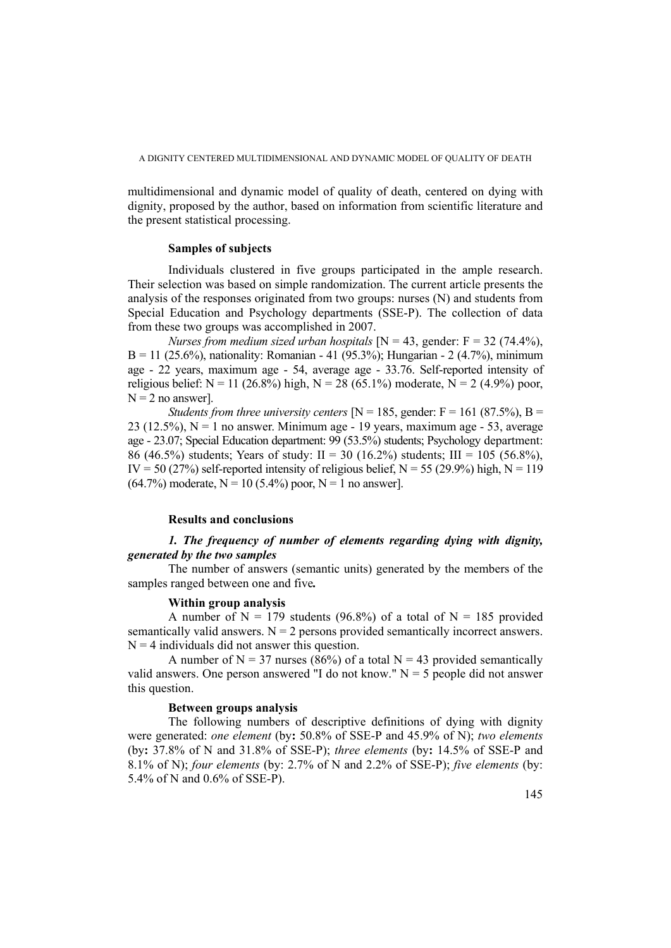multidimensional and dynamic model of quality of death, centered on dying with dignity, proposed by the author, based on information from scientific literature and the present statistical processing.

### **Samples of subjects**

Individuals clustered in five groups participated in the ample research. Their selection was based on simple randomization. The current article presents the analysis of the responses originated from two groups: nurses (N) and students from Special Education and Psychology departments (SSE-P). The collection of data from these two groups was accomplished in 2007.

*Nurses from medium sized urban hospitals*  $[N = 43,$  gender:  $F = 32 (74.4\%)$ .  $B = 11$  (25.6%), nationality: Romanian - 41 (95.3%); Hungarian - 2 (4.7%), minimum age - 22 years, maximum age - 54, average age - 33.76. Self-reported intensity of religious belief:  $N = 11$  (26.8%) high,  $N = 28$  (65.1%) moderate,  $N = 2$  (4.9%) poor,  $N = 2$  no answer].

*Students from three university centers*  $[N = 185,$  gender:  $F = 161 (87.5\%)$ ,  $B =$ 23 (12.5%),  $N = 1$  no answer. Minimum age - 19 years, maximum age - 53, average age - 23.07; Special Education department: 99 (53.5%) students; Psychology department: 86 (46.5%) students; Years of study: II = 30 (16.2%) students; III = 105 (56.8%), IV = 50 (27%) self-reported intensity of religious belief,  $N = 55$  (29.9%) high,  $N = 119$  $(64.7\%)$  moderate,  $N = 10 (5.4\%)$  poor,  $N = 1$  no answer].

### **Results and conclusions**

# *1. The frequency of number of elements regarding dying with dignity, generated by the two samples*

The number of answers (semantic units) generated by the members of the samples ranged between one and five*.* 

### **Within group analysis**

A number of  $N = 179$  students (96.8%) of a total of  $N = 185$  provided semantically valid answers.  $N = 2$  persons provided semantically incorrect answers.  $N = 4$  individuals did not answer this question.

A number of  $N = 37$  nurses (86%) of a total  $N = 43$  provided semantically valid answers. One person answered "I do not know."  $N = 5$  people did not answer this question.

## **Between groups analysis**

The following numbers of descriptive definitions of dying with dignity were generated: *one element* (by**:** 50.8% of SSE-P and 45.9% of N); *two elements* (by**:** 37.8% of N and 31.8% of SSE-P); *three elements* (by**:** 14.5% of SSE-P and 8.1% of N); *four elements* (by: 2.7% of N and 2.2% of SSE-P); *five elements* (by: 5.4% of N and 0.6% of SSE-P).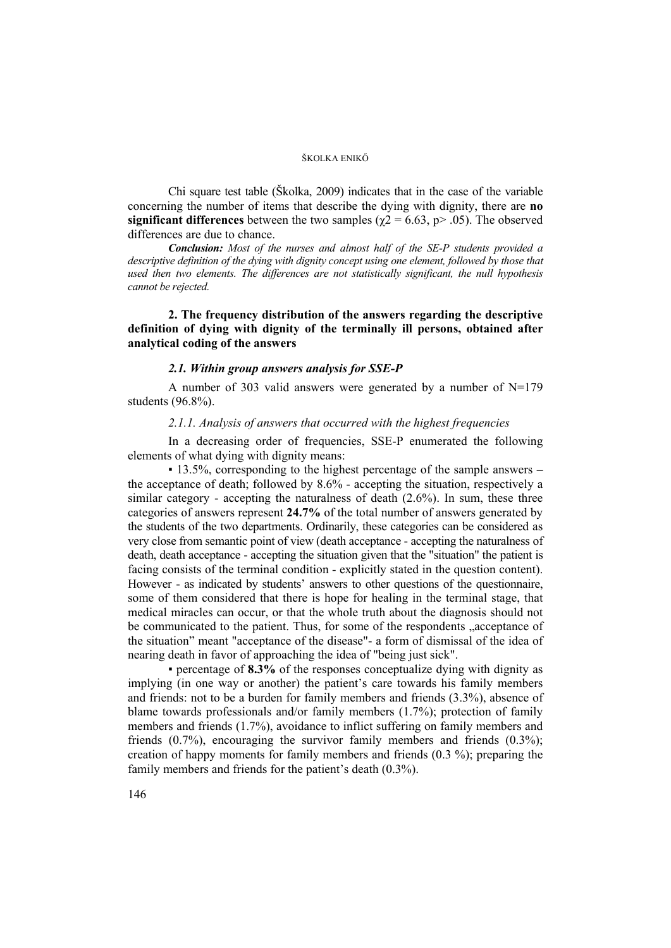Chi square test table (Školka, 2009) indicates that in the case of the variable concerning the number of items that describe the dying with dignity, there are **no significant differences** between the two samples ( $\chi$ 2 = 6.63, p> .05). The observed differences are due to chance.

*Conclusion: Most of the nurses and almost half of the SE-P students provided a descriptive definition of the dying with dignity concept using one element, followed by those that used then two elements. The differences are not statistically significant, the null hypothesis cannot be rejected.* 

# **2. The frequency distribution of the answers regarding the descriptive definition of dying with dignity of the terminally ill persons, obtained after analytical coding of the answers**

# *2.1. Within group answers analysis for SSE-P*

A number of 303 valid answers were generated by a number of N=179 students (96.8%).

### *2.1.1. Analysis of answers that occurred with the highest frequencies*

In a decreasing order of frequencies, SSE-P enumerated the following elements of what dying with dignity means:

 $\cdot$  13.5%, corresponding to the highest percentage of the sample answers – the acceptance of death; followed by 8.6% - accepting the situation, respectively a similar category - accepting the naturalness of death (2.6%). In sum, these three categories of answers represent **24.7%** of the total number of answers generated by the students of the two departments. Ordinarily, these categories can be considered as very close from semantic point of view (death acceptance - accepting the naturalness of death, death acceptance - accepting the situation given that the "situation" the patient is facing consists of the terminal condition - explicitly stated in the question content). However - as indicated by students' answers to other questions of the questionnaire, some of them considered that there is hope for healing in the terminal stage, that medical miracles can occur, or that the whole truth about the diagnosis should not be communicated to the patient. Thus, for some of the respondents . acceptance of the situation" meant "acceptance of the disease"- a form of dismissal of the idea of nearing death in favor of approaching the idea of "being just sick".

▪ percentage of **8.3%** of the responses conceptualize dying with dignity as implying (in one way or another) the patient's care towards his family members and friends: not to be a burden for family members and friends (3.3%), absence of blame towards professionals and/or family members (1.7%); protection of family members and friends (1.7%), avoidance to inflict suffering on family members and friends (0.7%), encouraging the survivor family members and friends (0.3%); creation of happy moments for family members and friends (0.3 %); preparing the family members and friends for the patient's death (0.3%).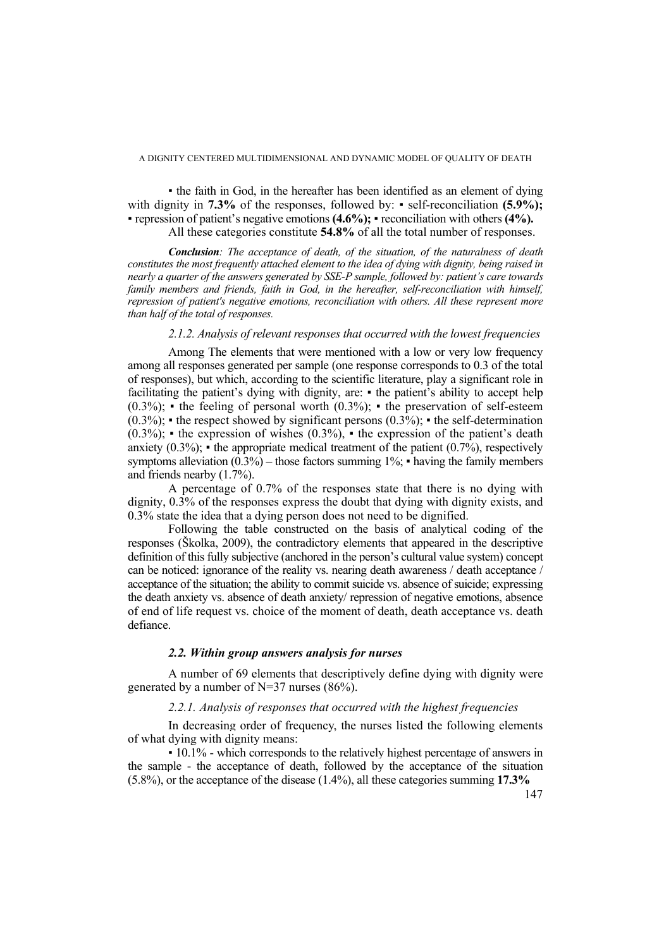▪ the faith in God, in the hereafter has been identified as an element of dying with dignity in **7.3%** of the responses, followed by: • self-reconciliation **(5.9%)**; ▪ repression of patient's negative emotions **(4.6%);** ▪ reconciliation with others **(4%).** All these categories constitute **54.8%** of all the total number of responses.

*Conclusion: The acceptance of death, of the situation, of the naturalness of death constitutes the most frequently attached element to the idea of dying with dignity, being raised in nearly a quarter of the answers generated by SSE-P sample, followed by: patient's care towards family members and friends, faith in God, in the hereafter, self-reconciliation with himself, repression of patient's negative emotions, reconciliation with others. All these represent more than half of the total of responses.* 

# *2.1.2. Analysis of relevant responses that occurred with the lowest frequencies*

Among The elements that were mentioned with a low or very low frequency among all responses generated per sample (one response corresponds to 0.3 of the total of responses), but which, according to the scientific literature, play a significant role in facilitating the patient's dying with dignity, are: • the patient's ability to accept help  $(0.3\%)$ ; • the feeling of personal worth  $(0.3\%)$ ; • the preservation of self-esteem  $(0.3\%)$ : • the respect showed by significant persons  $(0.3\%)$ : • the self-determination  $(0.3\%)$ ; • the expression of wishes  $(0.3\%)$ , • the expression of the patient's death anxiety  $(0.3\%)$ ; • the appropriate medical treatment of the patient  $(0.7\%)$ , respectively symptoms alleviation  $(0.3\%)$  – those factors summing 1%; • having the family members and friends nearby (1.7%).

A percentage of 0.7% of the responses state that there is no dying with dignity, 0.3% of the responses express the doubt that dying with dignity exists, and 0.3% state the idea that a dying person does not need to be dignified.

Following the table constructed on the basis of analytical coding of the responses (Školka, 2009), the contradictory elements that appeared in the descriptive definition of this fully subjective (anchored in the person's cultural value system) concept can be noticed: ignorance of the reality vs. nearing death awareness / death acceptance / acceptance of the situation; the ability to commit suicide vs. absence of suicide; expressing the death anxiety vs. absence of death anxiety/ repression of negative emotions, absence of end of life request vs. choice of the moment of death, death acceptance vs. death defiance.

### *2.2. Within group answers analysis for nurses*

A number of 69 elements that descriptively define dying with dignity were generated by a number of N=37 nurses (86%).

## *2.2.1. Analysis of responses that occurred with the highest frequencies*

In decreasing order of frequency, the nurses listed the following elements of what dying with dignity means:

▪ 10.1% - which corresponds to the relatively highest percentage of answers in the sample - the acceptance of death, followed by the acceptance of the situation (5.8%), or the acceptance of the disease (1.4%), all these categories summing **17.3%**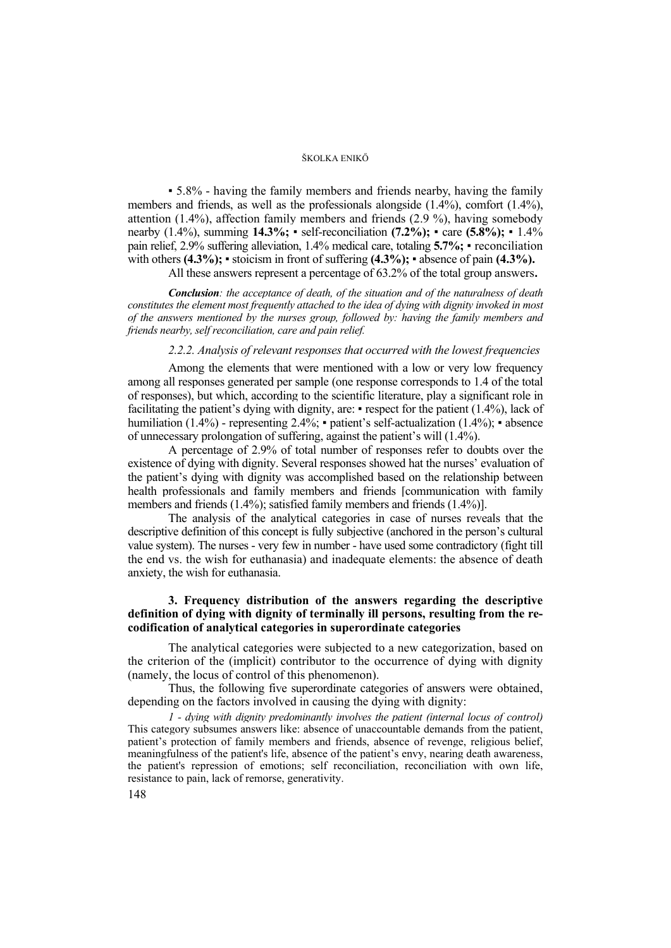▪ 5.8% - having the family members and friends nearby, having the family members and friends, as well as the professionals alongside (1.4%), comfort (1.4%), attention (1.4%), affection family members and friends (2.9 %), having somebody nearby (1.4%), summing **14.3%;** ▪ self-reconciliation **(7.2%);** ▪ care **(5.8%);** ▪ 1.4% pain relief, 2.9% suffering alleviation, 1.4% medical care, totaling **5.7%;** ▪ reconciliation with others  $(4.3\%)$ ;  $\bullet$  stoicism in front of suffering  $(4.3\%)$ ;  $\bullet$  absence of pain  $(4.3\%)$ .

All these answers represent a percentage of 63.2% of the total group answers**.**

*Conclusion: the acceptance of death, of the situation and of the naturalness of death constitutes the element most frequently attached to the idea of dying with dignity invoked in most of the answers mentioned by the nurses group, followed by: having the family members and friends nearby, self reconciliation, care and pain relief.*

## *2.2.2. Analysis of relevant responses that occurred with the lowest frequencies*

Among the elements that were mentioned with a low or very low frequency among all responses generated per sample (one response corresponds to 1.4 of the total of responses), but which, according to the scientific literature, play a significant role in facilitating the patient's dying with dignity, are:  $\bullet$  respect for the patient (1.4%), lack of humiliation  $(1.4\%)$  - representing 2.4%; • patient's self-actualization  $(1.4\%)$ ; • absence of unnecessary prolongation of suffering, against the patient's will (1.4%).

A percentage of 2.9% of total number of responses refer to doubts over the existence of dying with dignity. Several responses showed hat the nurses' evaluation of the patient's dying with dignity was accomplished based on the relationship between health professionals and family members and friends [communication with family members and friends (1.4%); satisfied family members and friends (1.4%)].

The analysis of the analytical categories in case of nurses reveals that the descriptive definition of this concept is fully subjective (anchored in the person's cultural value system). The nurses - very few in number - have used some contradictory (fight till the end vs. the wish for euthanasia) and inadequate elements: the absence of death anxiety, the wish for euthanasia.

## **3. Frequency distribution of the answers regarding the descriptive definition of dying with dignity of terminally ill persons, resulting from the recodification of analytical categories in superordinate categories**

The analytical categories were subjected to a new categorization, based on the criterion of the (implicit) contributor to the occurrence of dying with dignity (namely, the locus of control of this phenomenon).

Thus, the following five superordinate categories of answers were obtained, depending on the factors involved in causing the dying with dignity:

*1 - dying with dignity predominantly involves the patient (internal locus of control)*  This category subsumes answers like: absence of unaccountable demands from the patient, patient's protection of family members and friends, absence of revenge, religious belief, meaningfulness of the patient's life, absence of the patient's envy, nearing death awareness, the patient's repression of emotions; self reconciliation, reconciliation with own life, resistance to pain, lack of remorse, generativity.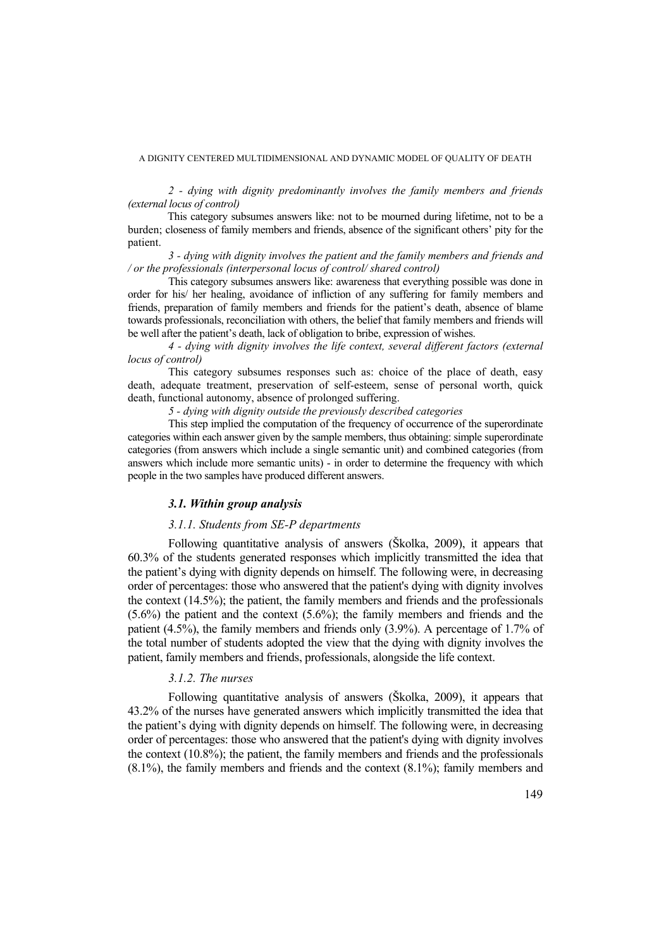*2 - dying with dignity predominantly involves the family members and friends (external locus of control)* 

This category subsumes answers like: not to be mourned during lifetime, not to be a burden; closeness of family members and friends, absence of the significant others' pity for the patient.

*3 - dying with dignity involves the patient and the family members and friends and / or the professionals (interpersonal locus of control/ shared control)* 

This category subsumes answers like: awareness that everything possible was done in order for his/ her healing, avoidance of infliction of any suffering for family members and friends, preparation of family members and friends for the patient's death, absence of blame towards professionals, reconciliation with others, the belief that family members and friends will be well after the patient's death, lack of obligation to bribe, expression of wishes.

*4 - dying with dignity involves the life context, several different factors (external locus of control)*

This category subsumes responses such as: choice of the place of death, easy death, adequate treatment, preservation of self-esteem, sense of personal worth, quick death, functional autonomy, absence of prolonged suffering.

*5 - dying with dignity outside the previously described categories* 

This step implied the computation of the frequency of occurrence of the superordinate categories within each answer given by the sample members, thus obtaining: simple superordinate categories (from answers which include a single semantic unit) and combined categories (from answers which include more semantic units) - in order to determine the frequency with which people in the two samples have produced different answers.

# *3.1. Within group analysis*

## *3.1.1. Students from SE-P departments*

Following quantitative analysis of answers (Školka, 2009), it appears that 60.3% of the students generated responses which implicitly transmitted the idea that the patient's dying with dignity depends on himself. The following were, in decreasing order of percentages: those who answered that the patient's dying with dignity involves the context (14.5%); the patient, the family members and friends and the professionals  $(5.6\%)$  the patient and the context  $(5.6\%)$ ; the family members and friends and the patient (4.5%), the family members and friends only (3.9%). A percentage of 1.7% of the total number of students adopted the view that the dying with dignity involves the patient, family members and friends, professionals, alongside the life context.

## *3.1.2. The nurses*

Following quantitative analysis of answers (Školka, 2009), it appears that 43.2% of the nurses have generated answers which implicitly transmitted the idea that the patient's dying with dignity depends on himself. The following were, in decreasing order of percentages: those who answered that the patient's dying with dignity involves the context (10.8%); the patient, the family members and friends and the professionals (8.1%), the family members and friends and the context (8.1%); family members and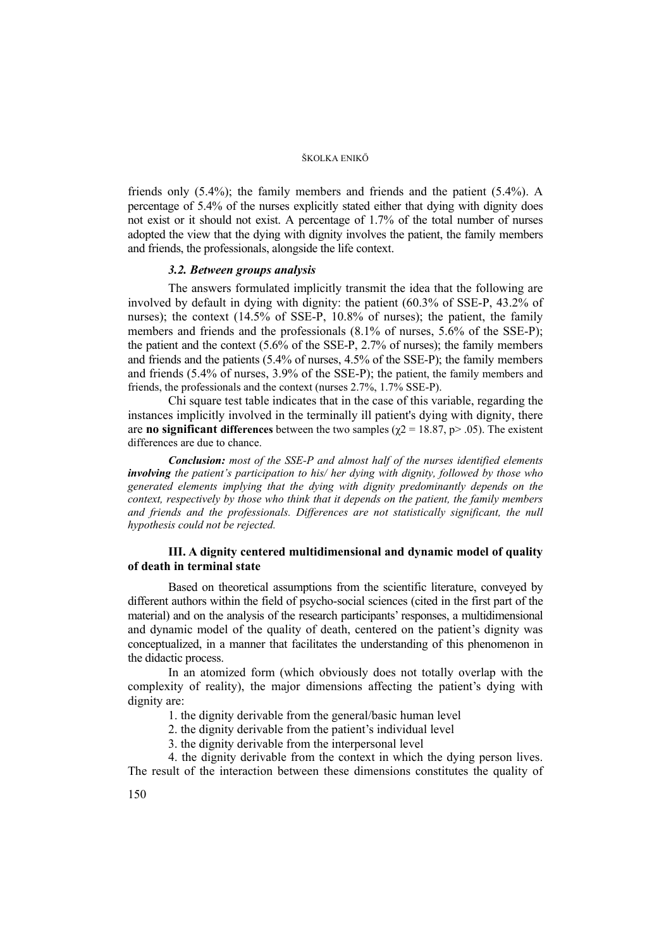friends only (5.4%); the family members and friends and the patient (5.4%). A percentage of 5.4% of the nurses explicitly stated either that dying with dignity does not exist or it should not exist. A percentage of 1.7% of the total number of nurses adopted the view that the dying with dignity involves the patient, the family members and friends, the professionals, alongside the life context.

### *3.2. Between groups analysis*

The answers formulated implicitly transmit the idea that the following are involved by default in dying with dignity: the patient (60.3% of SSE-P, 43.2% of nurses); the context (14.5% of SSE-P, 10.8% of nurses); the patient, the family members and friends and the professionals (8.1% of nurses, 5.6% of the SSE-P); the patient and the context (5.6% of the SSE-P, 2.7% of nurses); the family members and friends and the patients (5.4% of nurses, 4.5% of the SSE-P); the family members and friends (5.4% of nurses, 3.9% of the SSE-P); the patient, the family members and friends, the professionals and the context (nurses 2.7%, 1.7% SSE-P).

Chi square test table indicates that in the case of this variable, regarding the instances implicitly involved in the terminally ill patient's dying with dignity, there are **no significant differences** between the two samples ( $\gamma$ 2 = 18.87, p> .05). The existent differences are due to chance.

*Conclusion: most of the SSE-P and almost half of the nurses identified elements involving the patient's participation to his/ her dying with dignity, followed by those who generated elements implying that the dying with dignity predominantly depends on the context, respectively by those who think that it depends on the patient, the family members and friends and the professionals. Differences are not statistically significant, the null hypothesis could not be rejected.* 

## **III. A dignity centered multidimensional and dynamic model of quality of death in terminal state**

Based on theoretical assumptions from the scientific literature, conveyed by different authors within the field of psycho-social sciences (cited in the first part of the material) and on the analysis of the research participants' responses, a multidimensional and dynamic model of the quality of death, centered on the patient's dignity was conceptualized, in a manner that facilitates the understanding of this phenomenon in the didactic process.

In an atomized form (which obviously does not totally overlap with the complexity of reality), the major dimensions affecting the patient's dying with dignity are:

- 1. the dignity derivable from the general/basic human level
- 2. the dignity derivable from the patient's individual level
- 3. the dignity derivable from the interpersonal level

4. the dignity derivable from the context in which the dying person lives. The result of the interaction between these dimensions constitutes the quality of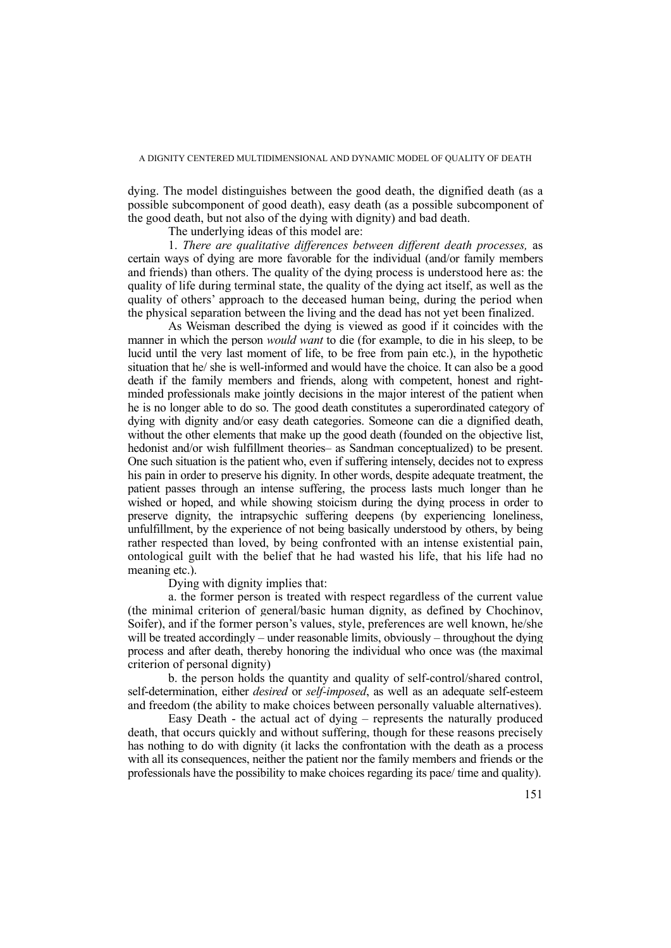dying. The model distinguishes between the good death, the dignified death (as a possible subcomponent of good death), easy death (as a possible subcomponent of the good death, but not also of the dying with dignity) and bad death.

The underlying ideas of this model are:

1. *There are qualitative differences between different death processes,* as certain ways of dying are more favorable for the individual (and/or family members and friends) than others. The quality of the dying process is understood here as: the quality of life during terminal state, the quality of the dying act itself, as well as the quality of others' approach to the deceased human being, during the period when the physical separation between the living and the dead has not yet been finalized.

As Weisman described the dying is viewed as good if it coincides with the manner in which the person *would want* to die (for example, to die in his sleep, to be lucid until the very last moment of life, to be free from pain etc.), in the hypothetic situation that he/ she is well-informed and would have the choice. It can also be a good death if the family members and friends, along with competent, honest and rightminded professionals make jointly decisions in the major interest of the patient when he is no longer able to do so. The good death constitutes a superordinated category of dying with dignity and/or easy death categories. Someone can die a dignified death, without the other elements that make up the good death (founded on the objective list, hedonist and/or wish fulfillment theories– as Sandman conceptualized) to be present. One such situation is the patient who, even if suffering intensely, decides not to express his pain in order to preserve his dignity. In other words, despite adequate treatment, the patient passes through an intense suffering, the process lasts much longer than he wished or hoped, and while showing stoicism during the dying process in order to preserve dignity, the intrapsychic suffering deepens (by experiencing loneliness, unfulfillment, by the experience of not being basically understood by others, by being rather respected than loved, by being confronted with an intense existential pain, ontological guilt with the belief that he had wasted his life, that his life had no meaning etc.).

Dying with dignity implies that:

a. the former person is treated with respect regardless of the current value (the minimal criterion of general/basic human dignity, as defined by Chochinov, Soifer), and if the former person's values, style, preferences are well known, he/she will be treated accordingly – under reasonable limits, obviously – throughout the dying process and after death, thereby honoring the individual who once was (the maximal criterion of personal dignity)

b. the person holds the quantity and quality of self-control/shared control, self-determination, either *desired* or *self-imposed*, as well as an adequate self-esteem and freedom (the ability to make choices between personally valuable alternatives).

Easy Death - the actual act of dying – represents the naturally produced death, that occurs quickly and without suffering, though for these reasons precisely has nothing to do with dignity (it lacks the confrontation with the death as a process with all its consequences, neither the patient nor the family members and friends or the professionals have the possibility to make choices regarding its pace/ time and quality).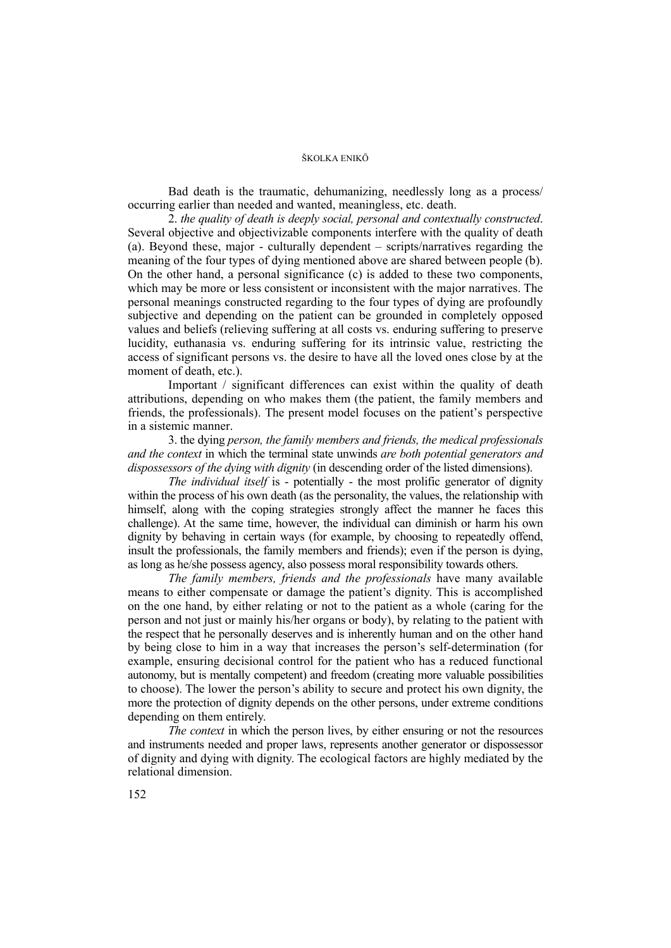Bad death is the traumatic, dehumanizing, needlessly long as a process/ occurring earlier than needed and wanted, meaningless, etc. death.

2. *the quality of death is deeply social, personal and contextually constructed*. Several objective and objectivizable components interfere with the quality of death (a). Beyond these, major - culturally dependent – scripts/narratives regarding the meaning of the four types of dying mentioned above are shared between people (b). On the other hand, a personal significance (c) is added to these two components, which may be more or less consistent or inconsistent with the major narratives. The personal meanings constructed regarding to the four types of dying are profoundly subjective and depending on the patient can be grounded in completely opposed values and beliefs (relieving suffering at all costs vs. enduring suffering to preserve lucidity, euthanasia vs. enduring suffering for its intrinsic value, restricting the access of significant persons vs. the desire to have all the loved ones close by at the moment of death, etc.).

Important / significant differences can exist within the quality of death attributions, depending on who makes them (the patient, the family members and friends, the professionals). The present model focuses on the patient's perspective in a sistemic manner.

3. the dying *person, the family members and friends, the medical professionals and the context* in which the terminal state unwinds *are both potential generators and dispossessors of the dying with dignity* (in descending order of the listed dimensions).

*The individual itself* is - potentially - the most prolific generator of dignity within the process of his own death (as the personality, the values, the relationship with himself, along with the coping strategies strongly affect the manner he faces this challenge). At the same time, however, the individual can diminish or harm his own dignity by behaving in certain ways (for example, by choosing to repeatedly offend, insult the professionals, the family members and friends); even if the person is dying, as long as he/she possess agency, also possess moral responsibility towards others.

*The family members, friends and the professionals* have many available means to either compensate or damage the patient's dignity. This is accomplished on the one hand, by either relating or not to the patient as a whole (caring for the person and not just or mainly his/her organs or body), by relating to the patient with the respect that he personally deserves and is inherently human and on the other hand by being close to him in a way that increases the person's self-determination (for example, ensuring decisional control for the patient who has a reduced functional autonomy, but is mentally competent) and freedom (creating more valuable possibilities to choose). The lower the person's ability to secure and protect his own dignity, the more the protection of dignity depends on the other persons, under extreme conditions depending on them entirely.

*The context* in which the person lives, by either ensuring or not the resources and instruments needed and proper laws, represents another generator or dispossessor of dignity and dying with dignity. The ecological factors are highly mediated by the relational dimension.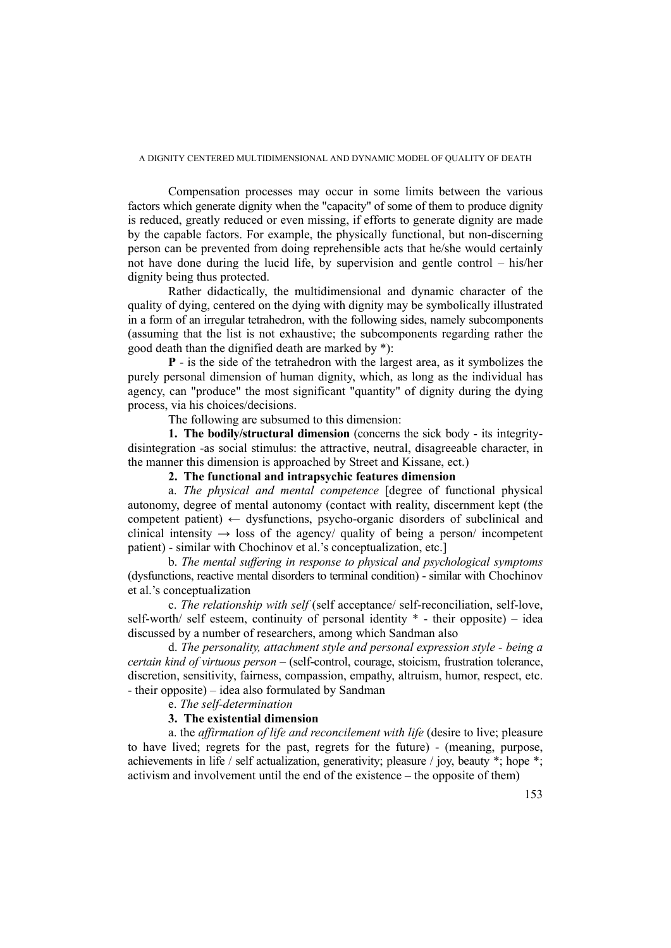Compensation processes may occur in some limits between the various factors which generate dignity when the "capacity" of some of them to produce dignity is reduced, greatly reduced or even missing, if efforts to generate dignity are made by the capable factors. For example, the physically functional, but non-discerning person can be prevented from doing reprehensible acts that he/she would certainly not have done during the lucid life, by supervision and gentle control – his/her dignity being thus protected.

Rather didactically, the multidimensional and dynamic character of the quality of dying, centered on the dying with dignity may be symbolically illustrated in a form of an irregular tetrahedron, with the following sides, namely subcomponents (assuming that the list is not exhaustive; the subcomponents regarding rather the good death than the dignified death are marked by \*):

**P** - is the side of the tetrahedron with the largest area, as it symbolizes the purely personal dimension of human dignity, which, as long as the individual has agency, can "produce" the most significant "quantity" of dignity during the dying process, via his choices/decisions.

The following are subsumed to this dimension:

**1. The bodily/structural dimension** (concerns the sick body - its integritydisintegration -as social stimulus: the attractive, neutral, disagreeable character, in the manner this dimension is approached by Street and Kissane, ect.)

# **2. The functional and intrapsychic features dimension**

a. *The physical and mental competence* [degree of functional physical autonomy, degree of mental autonomy (contact with reality, discernment kept (the competent patient)  $\leftarrow$  dysfunctions, psycho-organic disorders of subclinical and clinical intensity  $\rightarrow$  loss of the agency/ quality of being a person/ incompetent patient) - similar with Chochinov et al.'s conceptualization, etc.]

b. *The mental suffering in response to physical and psychological symptoms* (dysfunctions, reactive mental disorders to terminal condition) - similar with Chochinov et al.'s conceptualization

c. *The relationship with self* (self acceptance/ self-reconciliation, self-love, self-worth/ self esteem, continuity of personal identity \* - their opposite) – idea discussed by a number of researchers, among which Sandman also

d. *The personality, attachment style and personal expression style - being a certain kind of virtuous person* – (self-control, courage, stoicism, frustration tolerance, discretion, sensitivity, fairness, compassion, empathy, altruism, humor, respect, etc. - their opposite) – idea also formulated by Sandman

e. *The self-determination*

## **3. The existential dimension**

a. the *affirmation of life and reconcilement with life* (desire to live; pleasure to have lived; regrets for the past, regrets for the future) - (meaning, purpose, achievements in life / self actualization, generativity; pleasure / joy, beauty \*; hope \*; activism and involvement until the end of the existence – the opposite of them)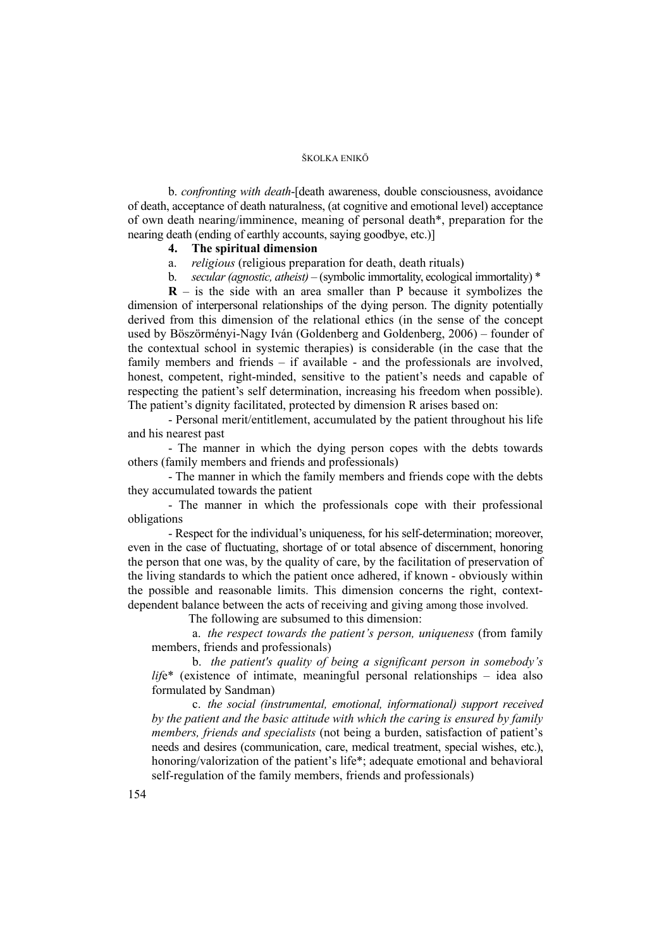b. *confronting with death*-[death awareness, double consciousness, avoidance of death, acceptance of death naturalness, (at cognitive and emotional level) acceptance of own death nearing/imminence, meaning of personal death\*, preparation for the nearing death (ending of earthly accounts, saying goodbye, etc.)]

# **4. The spiritual dimension**

- a. *religious* (religious preparation for death, death rituals)
- b. *secular (agnostic, atheist)* (symbolic immortality, ecological immortality) \*

 $R$  – is the side with an area smaller than P because it symbolizes the dimension of interpersonal relationships of the dying person. The dignity potentially derived from this dimension of the relational ethics (in the sense of the concept used by Böszörményi-Nagy Iván (Goldenberg and Goldenberg, 2006) – founder of the contextual school in systemic therapies) is considerable (in the case that the family members and friends – if available - and the professionals are involved, honest, competent, right-minded, sensitive to the patient's needs and capable of respecting the patient's self determination, increasing his freedom when possible). The patient's dignity facilitated, protected by dimension R arises based on:

- Personal merit/entitlement, accumulated by the patient throughout his life and his nearest past

- The manner in which the dying person copes with the debts towards others (family members and friends and professionals)

- The manner in which the family members and friends cope with the debts they accumulated towards the patient

- The manner in which the professionals cope with their professional obligations

- Respect for the individual's uniqueness, for his self-determination; moreover, even in the case of fluctuating, shortage of or total absence of discernment, honoring the person that one was, by the quality of care, by the facilitation of preservation of the living standards to which the patient once adhered, if known - obviously within the possible and reasonable limits. This dimension concerns the right, contextdependent balance between the acts of receiving and giving among those involved.

The following are subsumed to this dimension:

a. *the respect towards the patient's person, uniqueness* (from family members, friends and professionals)

b. *the patient's quality of being a significant person in somebody's lif*e\* (existence of intimate, meaningful personal relationships – idea also formulated by Sandman)

c. *the social (instrumental, emotional, informational) support received by the patient and the basic attitude with which the caring is ensured by family members, friends and specialists* (not being a burden, satisfaction of patient's needs and desires (communication, care, medical treatment, special wishes, etc.), honoring/valorization of the patient's life<sup>\*</sup>: adequate emotional and behavioral self-regulation of the family members, friends and professionals)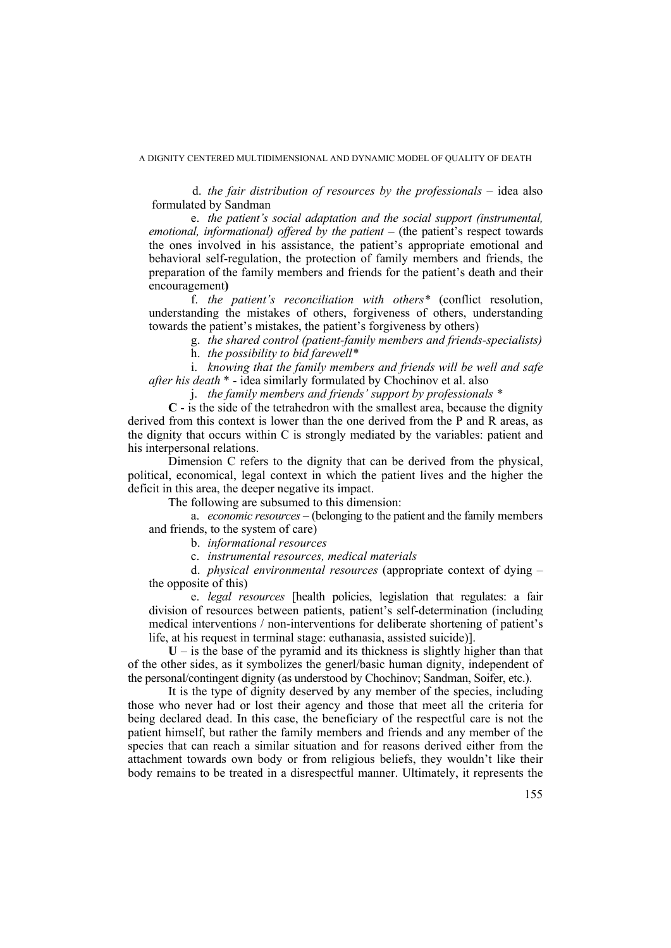d. *the fair distribution of resources by the professionals* – idea also formulated by Sandman

e. *the patient's social adaptation and the social support (instrumental, emotional, informational) offered by the patient* – (the patient's respect towards the ones involved in his assistance, the patient's appropriate emotional and behavioral self-regulation, the protection of family members and friends, the preparation of the family members and friends for the patient's death and their encouragement**)**

f. *the patient's reconciliation with others\** (conflict resolution, understanding the mistakes of others, forgiveness of others, understanding towards the patient's mistakes, the patient's forgiveness by others)

g. *the shared control (patient-family members and friends-specialists)* 

h. *the possibility to bid farewell\**

i. *knowing that the family members and friends will be well and safe after his death* \* - idea similarly formulated by Chochinov et al. also

j. *the family members and friends' support by professionals \** 

**C** - is the side of the tetrahedron with the smallest area, because the dignity derived from this context is lower than the one derived from the P and R areas, as the dignity that occurs within C is strongly mediated by the variables: patient and his interpersonal relations.

Dimension C refers to the dignity that can be derived from the physical, political, economical, legal context in which the patient lives and the higher the deficit in this area, the deeper negative its impact.

The following are subsumed to this dimension:

a. *economic resources* – (belonging to the patient and the family members and friends, to the system of care)

b. *informational resources*

c. *instrumental resources, medical materials*

d. *physical environmental resources* (appropriate context of dying – the opposite of this)

e. *legal resources* [health policies, legislation that regulates: a fair division of resources between patients, patient's self-determination (including medical interventions / non-interventions for deliberate shortening of patient's life, at his request in terminal stage: euthanasia, assisted suicide)].

 $U - iS$  the base of the pyramid and its thickness is slightly higher than that of the other sides, as it symbolizes the generl/basic human dignity, independent of the personal/contingent dignity (as understood by Chochinov; Sandman, Soifer, etc.).

It is the type of dignity deserved by any member of the species, including those who never had or lost their agency and those that meet all the criteria for being declared dead. In this case, the beneficiary of the respectful care is not the patient himself, but rather the family members and friends and any member of the species that can reach a similar situation and for reasons derived either from the attachment towards own body or from religious beliefs, they wouldn't like their body remains to be treated in a disrespectful manner. Ultimately, it represents the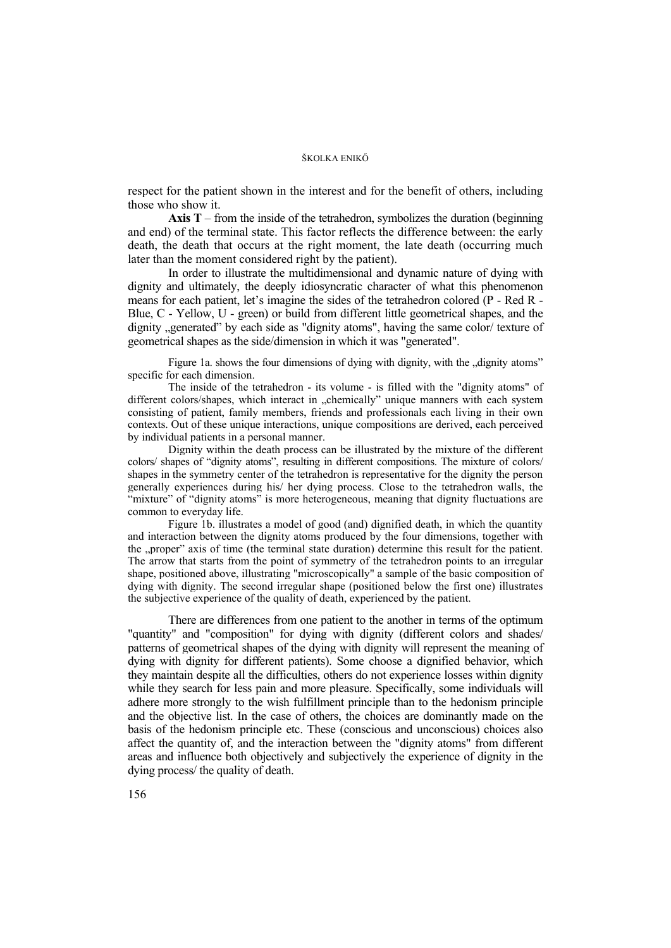respect for the patient shown in the interest and for the benefit of others, including those who show it.

**Axis T** – from the inside of the tetrahedron, symbolizes the duration (beginning and end) of the terminal state. This factor reflects the difference between: the early death, the death that occurs at the right moment, the late death (occurring much later than the moment considered right by the patient).

In order to illustrate the multidimensional and dynamic nature of dying with dignity and ultimately, the deeply idiosyncratic character of what this phenomenon means for each patient, let's imagine the sides of the tetrahedron colored (P - Red R - Blue, C - Yellow, U - green) or build from different little geometrical shapes, and the dignity , generated" by each side as "dignity atoms", having the same color/ texture of geometrical shapes as the side/dimension in which it was "generated".

Figure 1a. shows the four dimensions of dying with dignity, with the "dignity atoms" specific for each dimension.

The inside of the tetrahedron - its volume - is filled with the "dignity atoms" of different colors/shapes, which interact in "chemically" unique manners with each system consisting of patient, family members, friends and professionals each living in their own contexts. Out of these unique interactions, unique compositions are derived, each perceived by individual patients in a personal manner.

Dignity within the death process can be illustrated by the mixture of the different colors/ shapes of "dignity atoms", resulting in different compositions. The mixture of colors/ shapes in the symmetry center of the tetrahedron is representative for the dignity the person generally experiences during his/ her dying process. Close to the tetrahedron walls, the "mixture" of "dignity atoms" is more heterogeneous, meaning that dignity fluctuations are common to everyday life.

Figure 1b. illustrates a model of good (and) dignified death, in which the quantity and interaction between the dignity atoms produced by the four dimensions, together with the "proper" axis of time (the terminal state duration) determine this result for the patient. The arrow that starts from the point of symmetry of the tetrahedron points to an irregular shape, positioned above, illustrating "microscopically" a sample of the basic composition of dying with dignity. The second irregular shape (positioned below the first one) illustrates the subjective experience of the quality of death, experienced by the patient.

There are differences from one patient to the another in terms of the optimum "quantity" and "composition" for dying with dignity (different colors and shades/ patterns of geometrical shapes of the dying with dignity will represent the meaning of dying with dignity for different patients). Some choose a dignified behavior, which they maintain despite all the difficulties, others do not experience losses within dignity while they search for less pain and more pleasure. Specifically, some individuals will adhere more strongly to the wish fulfillment principle than to the hedonism principle and the objective list. In the case of others, the choices are dominantly made on the basis of the hedonism principle etc. These (conscious and unconscious) choices also affect the quantity of, and the interaction between the "dignity atoms" from different areas and influence both objectively and subjectively the experience of dignity in the dying process/ the quality of death.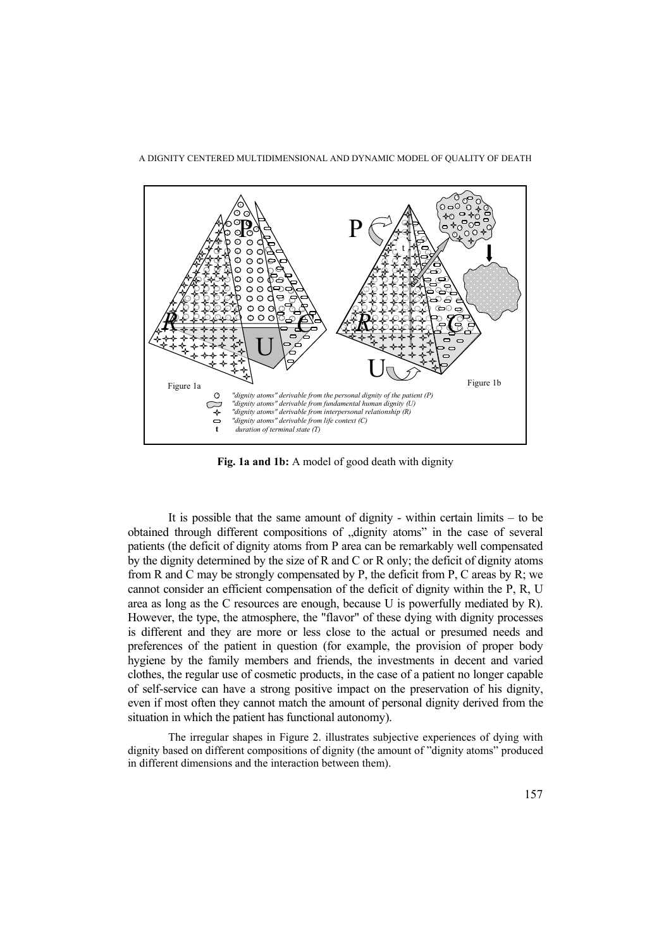

**Fig. 1a and 1b:** A model of good death with dignity

It is possible that the same amount of dignity - within certain limits – to be obtained through different compositions of "dignity atoms" in the case of several patients (the deficit of dignity atoms from P area can be remarkably well compensated by the dignity determined by the size of R and C or R only; the deficit of dignity atoms from R and C may be strongly compensated by P, the deficit from P, C areas by R; we cannot consider an efficient compensation of the deficit of dignity within the P, R, U area as long as the C resources are enough, because U is powerfully mediated by R). However, the type, the atmosphere, the "flavor" of these dying with dignity processes is different and they are more or less close to the actual or presumed needs and preferences of the patient in question (for example, the provision of proper body hygiene by the family members and friends, the investments in decent and varied clothes, the regular use of cosmetic products, in the case of a patient no longer capable of self-service can have a strong positive impact on the preservation of his dignity, even if most often they cannot match the amount of personal dignity derived from the situation in which the patient has functional autonomy).

The irregular shapes in Figure 2. illustrates subjective experiences of dying with dignity based on different compositions of dignity (the amount of "dignity atoms" produced in different dimensions and the interaction between them).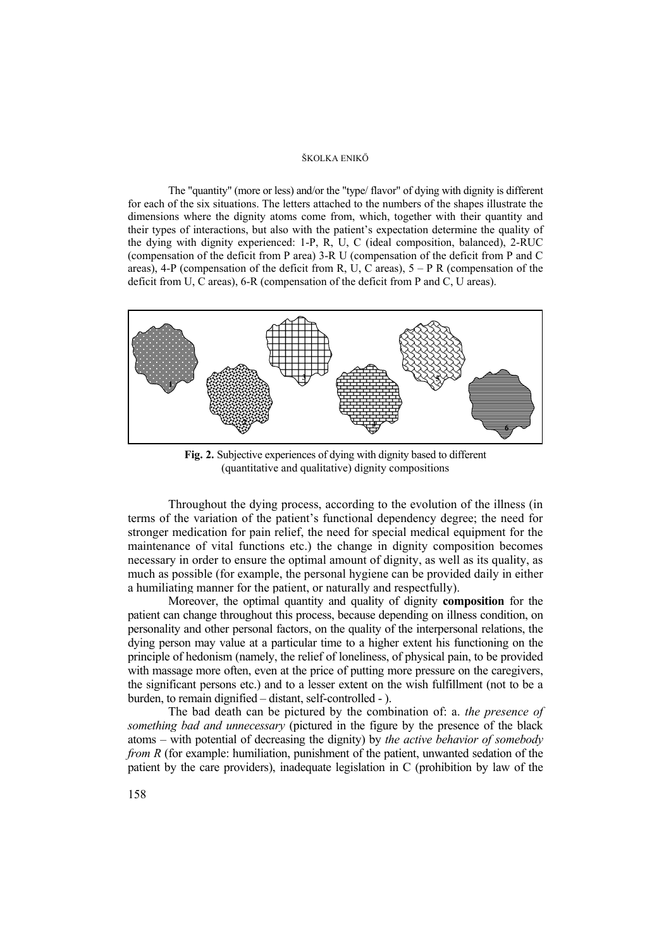The "quantity" (more or less) and/or the "type/ flavor" of dying with dignity is different for each of the six situations. The letters attached to the numbers of the shapes illustrate the dimensions where the dignity atoms come from, which, together with their quantity and their types of interactions, but also with the patient's expectation determine the quality of the dying with dignity experienced: 1-P, R, U, C (ideal composition, balanced), 2-RUC (compensation of the deficit from P area) 3-R U (compensation of the deficit from P and C areas), 4-P (compensation of the deficit from R, U, C areas),  $5 - P R$  (compensation of the deficit from U, C areas), 6-R (compensation of the deficit from P and C, U areas).



**Fig. 2.** Subjective experiences of dying with dignity based to different (quantitative and qualitative) dignity compositions

Throughout the dying process, according to the evolution of the illness (in terms of the variation of the patient's functional dependency degree; the need for stronger medication for pain relief, the need for special medical equipment for the maintenance of vital functions etc.) the change in dignity composition becomes necessary in order to ensure the optimal amount of dignity, as well as its quality, as much as possible (for example, the personal hygiene can be provided daily in either a humiliating manner for the patient, or naturally and respectfully).

Moreover, the optimal quantity and quality of dignity **composition** for the patient can change throughout this process, because depending on illness condition, on personality and other personal factors, on the quality of the interpersonal relations, the dying person may value at a particular time to a higher extent his functioning on the principle of hedonism (namely, the relief of loneliness, of physical pain, to be provided with massage more often, even at the price of putting more pressure on the caregivers, the significant persons etc.) and to a lesser extent on the wish fulfillment (not to be a burden, to remain dignified – distant, self-controlled - ).

The bad death can be pictured by the combination of: a. *the presence of something bad and unnecessary* (pictured in the figure by the presence of the black atoms – with potential of decreasing the dignity) by *the active behavior of somebody from R* (for example: humiliation, punishment of the patient, unwanted sedation of the patient by the care providers), inadequate legislation in C (prohibition by law of the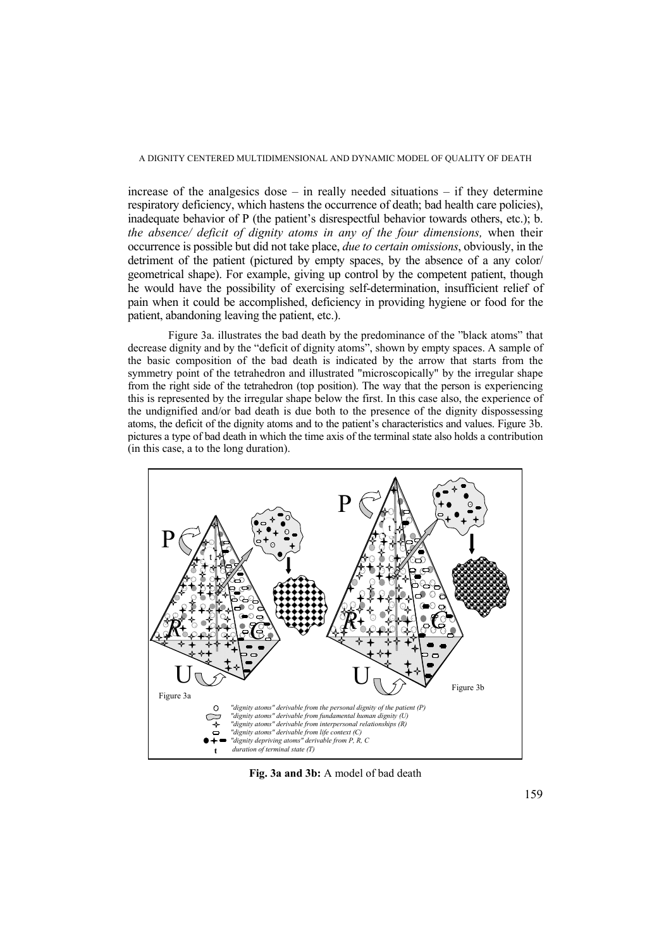increase of the analgesics dose – in really needed situations – if they determine respiratory deficiency, which hastens the occurrence of death; bad health care policies). inadequate behavior of P (the patient's disrespectful behavior towards others, etc.); b. *the absence/ deficit of dignity atoms in any of the four dimensions,* when their occurrence is possible but did not take place, *due to certain omissions*, obviously, in the detriment of the patient (pictured by empty spaces, by the absence of a any color/ geometrical shape). For example, giving up control by the competent patient, though he would have the possibility of exercising self-determination, insufficient relief of pain when it could be accomplished, deficiency in providing hygiene or food for the patient, abandoning leaving the patient, etc.).

Figure 3a. illustrates the bad death by the predominance of the "black atoms" that decrease dignity and by the "deficit of dignity atoms", shown by empty spaces. A sample of the basic composition of the bad death is indicated by the arrow that starts from the symmetry point of the tetrahedron and illustrated "microscopically" by the irregular shape from the right side of the tetrahedron (top position). The way that the person is experiencing this is represented by the irregular shape below the first. In this case also, the experience of the undignified and/or bad death is due both to the presence of the dignity dispossessing atoms, the deficit of the dignity atoms and to the patient's characteristics and values. Figure 3b. pictures a type of bad death in which the time axis of the terminal state also holds a contribution (in this case, a to the long duration).



**Fig. 3a and 3b:** A model of bad death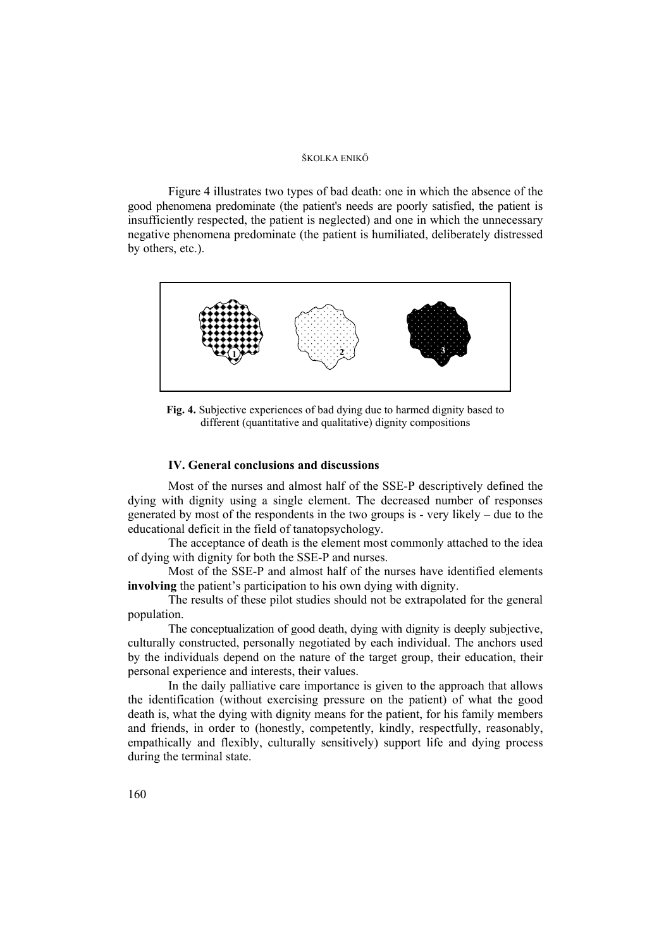Figure 4 illustrates two types of bad death: one in which the absence of the good phenomena predominate (the patient's needs are poorly satisfied, the patient is insufficiently respected, the patient is neglected) and one in which the unnecessary negative phenomena predominate (the patient is humiliated, deliberately distressed by others, etc.).



**Fig. 4.** Subjective experiences of bad dying due to harmed dignity based to different (quantitative and qualitative) dignity compositions

# **IV. General conclusions and discussions**

Most of the nurses and almost half of the SSE-P descriptively defined the dying with dignity using a single element. The decreased number of responses generated by most of the respondents in the two groups is - very likely – due to the educational deficit in the field of tanatopsychology.

The acceptance of death is the element most commonly attached to the idea of dying with dignity for both the SSE-P and nurses.

Most of the SSE-P and almost half of the nurses have identified elements **involving** the patient's participation to his own dying with dignity.

The results of these pilot studies should not be extrapolated for the general population.

The conceptualization of good death, dying with dignity is deeply subjective, culturally constructed, personally negotiated by each individual. The anchors used by the individuals depend on the nature of the target group, their education, their personal experience and interests, their values.

In the daily palliative care importance is given to the approach that allows the identification (without exercising pressure on the patient) of what the good death is, what the dying with dignity means for the patient, for his family members and friends, in order to (honestly, competently, kindly, respectfully, reasonably, empathically and flexibly, culturally sensitively) support life and dying process during the terminal state.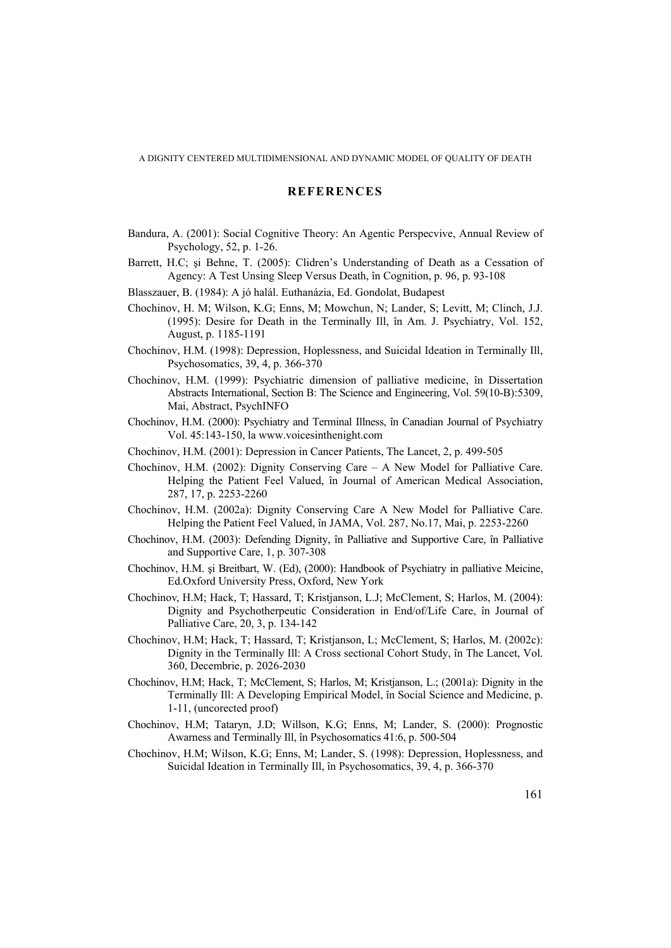## **REFERENCES**

- Bandura, A. (2001): Social Cognitive Theory: An Agentic Perspecvive, Annual Review of Psychology, 52, p. 1-26.
- Barrett, H.C; şi Behne, T. (2005): Clidren's Understanding of Death as a Cessation of Agency: A Test Unsing Sleep Versus Death, în Cognition, p. 96, p. 93-108
- Blasszauer, B. (1984): A jó halál. Euthanázia, Ed. Gondolat, Budapest
- Chochinov, H. M; Wilson, K.G; Enns, M; Mowchun, N; Lander, S; Levitt, M; Clinch, J.J. (1995): Desire for Death in the Terminally Ill, în Am. J. Psychiatry, Vol. 152, August, p. 1185-1191
- Chochinov, H.M. (1998): Depression, Hoplessness, and Suicidal Ideation in Terminally Ill, Psychosomatics, 39, 4, p. 366-370
- Chochinov, H.M. (1999): Psychiatric dimension of palliative medicine, în Dissertation Abstracts International, Section B: The Science and Engineering, Vol. 59(10-B):5309, Mai, Abstract, PsychINFO
- Chochinov, H.M. (2000): Psychiatry and Terminal Illness, în Canadian Journal of Psychiatry Vol. 45:143-150, la www.voicesinthenight.com
- Chochinov, H.M. (2001): Depression in Cancer Patients, The Lancet, 2, p. 499-505
- Chochinov, H.M. (2002): Dignity Conserving Care  $A$  New Model for Palliative Care. Helping the Patient Feel Valued, în Journal of American Medical Association, 287, 17, p. 2253-2260
- Chochinov, H.M. (2002a): Dignity Conserving Care A New Model for Palliative Care. Helping the Patient Feel Valued, în JAMA, Vol. 287, No.17, Mai, p. 2253-2260
- Chochinov, H.M. (2003): Defending Dignity, în Palliative and Supportive Care, în Palliative and Supportive Care, 1, p. 307-308
- Chochinov, H.M. şi Breitbart, W. (Ed), (2000): Handbook of Psychiatry in palliative Meicine, Ed.Oxford University Press, Oxford, New York
- Chochinov, H.M; Hack, T; Hassard, T; Kristjanson, L.J; McClement, S; Harlos, M. (2004): Dignity and Psychotherpeutic Consideration in End/of/Life Care, în Journal of Palliative Care, 20, 3, p. 134-142
- Chochinov, H.M; Hack, T; Hassard, T; Kristjanson, L; McClement, S; Harlos, M. (2002c): Dignity in the Terminally Ill: A Cross sectional Cohort Study, în The Lancet, Vol. 360, Decembrie, p. 2026-2030
- Chochinov, H.M; Hack, T; McClement, S; Harlos, M; Kristjanson, L.; (2001a): Dignity in the Terminally Ill: A Developing Empirical Model, în Social Science and Medicine, p. 1-11, (uncorected proof)
- Chochinov, H.M; Tataryn, J.D; Willson, K.G; Enns, M; Lander, S. (2000): Prognostic Awarness and Terminally Ill, în Psychosomatics 41:6, p. 500-504
- Chochinov, H.M; Wilson, K.G; Enns, M; Lander, S. (1998): Depression, Hoplessness, and Suicidal Ideation in Terminally Ill, în Psychosomatics, 39, 4, p. 366-370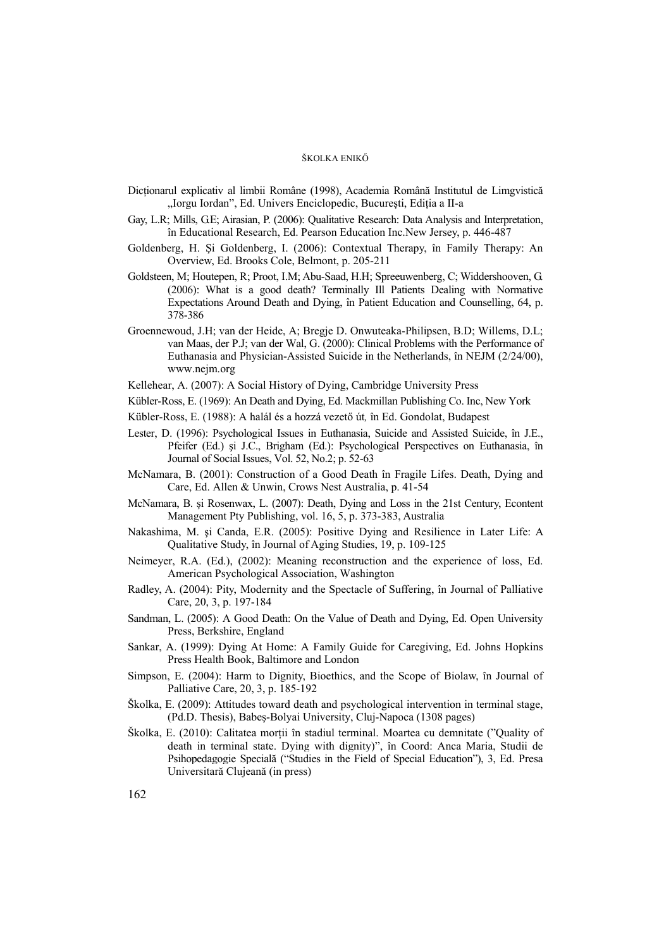- Dictionarul explicativ al limbii Române (1998), Academia Română Institutul de Limgvistică "Iorgu Iordan", Ed. Univers Enciclopedic, Bucureşti, Ediţia a II-a
- Gay, L.R; Mills, G.E; Airasian, P. (2006): Qualitative Research: Data Analysis and Interpretation, în Educational Research, Ed. Pearson Education Inc.New Jersey, p. 446-487
- Goldenberg, H. Şi Goldenberg, I. (2006): Contextual Therapy, în Family Therapy: An Overview, Ed. Brooks Cole, Belmont, p. 205-211
- Goldsteen, M; Houtepen, R; Proot, I.M; Abu-Saad, H.H; Spreeuwenberg, C; Widdershooven, G. (2006): What is a good death? Terminally Ill Patients Dealing with Normative Expectations Around Death and Dying, în Patient Education and Counselling, 64, p. 378-386
- Groennewoud, J.H; van der Heide, A; Bregje D. Onwuteaka-Philipsen, B.D; Willems, D.L; van Maas, der P.J; van der Wal, G. (2000): Clinical Problems with the Performance of Euthanasia and Physician-Assisted Suicide in the Netherlands, în NEJM (2/24/00), www.nejm.org
- Kellehear, A. (2007): A Social History of Dying, Cambridge University Press
- Kübler-Ross, E. (1969): An Death and Dying, Ed. Mackmillan Publishing Co. Inc, New York
- Kübler-Ross, E. (1988): A halál és a hozzá vezető út*,* în Ed. Gondolat, Budapest
- Lester, D. (1996): Psychological Issues in Euthanasia, Suicide and Assisted Suicide, în J.E., Pfeifer (Ed.) şi J.C., Brigham (Ed.): Psychological Perspectives on Euthanasia, în Journal of Social Issues, Vol. 52, No.2; p. 52-63
- McNamara, B. (2001): Construction of a Good Death în Fragile Lifes. Death, Dying and Care, Ed. Allen & Unwin, Crows Nest Australia, p. 41-54
- McNamara, B. şi Rosenwax, L. (2007): Death, Dying and Loss in the 21st Century, Econtent Management Pty Publishing, vol. 16, 5, p. 373-383, Australia
- Nakashima, M. şi Canda, E.R. (2005): Positive Dying and Resilience in Later Life: A Qualitative Study, în Journal of Aging Studies, 19, p. 109-125
- Neimeyer, R.A. (Ed.), (2002): Meaning reconstruction and the experience of loss, Ed. American Psychological Association, Washington
- Radley, A. (2004): Pity, Modernity and the Spectacle of Suffering, în Journal of Palliative Care, 20, 3, p. 197-184
- Sandman, L. (2005): A Good Death: On the Value of Death and Dying, Ed. Open University Press, Berkshire, England
- Sankar, A. (1999): Dying At Home: A Family Guide for Caregiving, Ed. Johns Hopkins Press Health Book, Baltimore and London
- Simpson, E. (2004): Harm to Dignity, Bioethics, and the Scope of Biolaw, în Journal of Palliative Care, 20, 3, p. 185-192
- Školka, E. (2009): Attitudes toward death and psychological intervention in terminal stage, (Pd.D. Thesis), Babeş-Bolyai University, Cluj-Napoca (1308 pages)
- Školka, E. (2010): Calitatea mortii în stadiul terminal. Moartea cu demnitate ("Quality of death in terminal state. Dying with dignity)", în Coord: Anca Maria, Studii de Psihopedagogie Specială ("Studies in the Field of Special Education"), 3, Ed. Presa Universitară Clujeană (in press)